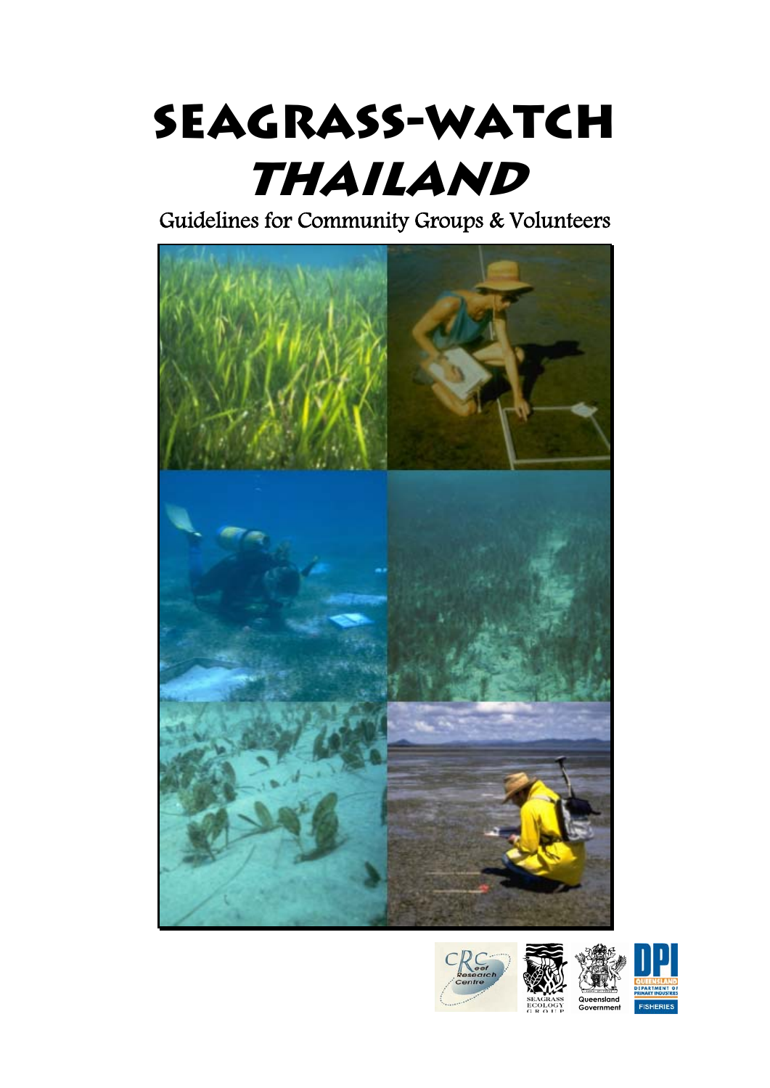# **Seagrass-Watch Thailand**

Guidelines for Community Groups & Volunteers





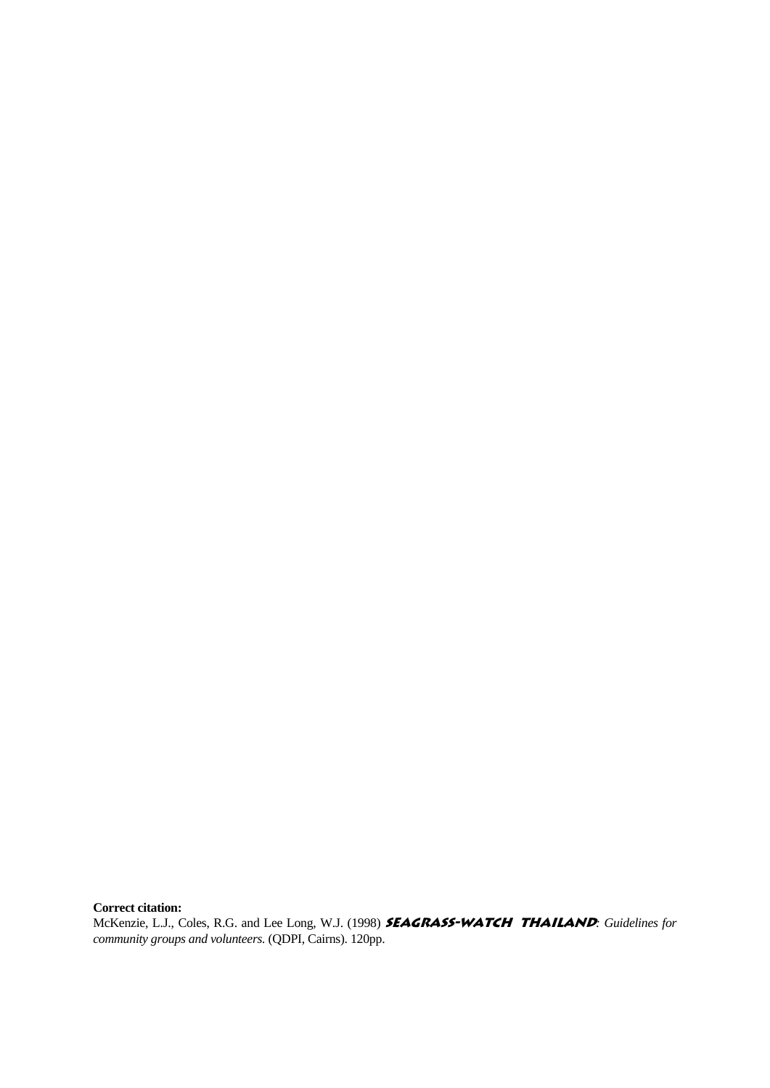**Correct citation:**

McKenzie, L.J., Coles, R.G. and Lee Long, W.J. (1998) **SEAGRASS-WATCH THAILAND**: Guidelines for *community groups and volunteers.* (QDPI, Cairns). 120pp.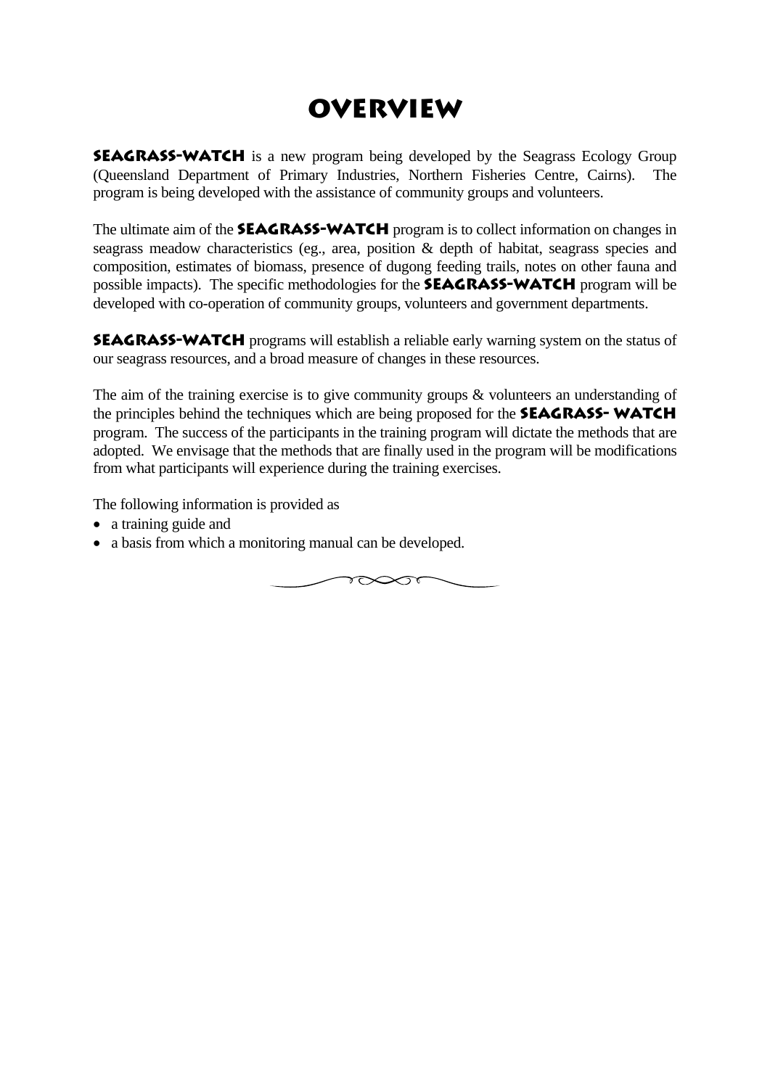# **Overview**

**SEAGRASS-WATCH** is a new program being developed by the Seagrass Ecology Group (Queensland Department of Primary Industries, Northern Fisheries Centre, Cairns). The program is being developed with the assistance of community groups and volunteers.

The ultimate aim of the **SEAGRASS-WATCH** program is to collect information on changes in seagrass meadow characteristics (eg., area, position & depth of habitat, seagrass species and composition, estimates of biomass, presence of dugong feeding trails, notes on other fauna and possible impacts). The specific methodologies for the **Seagrass-Watch** program will be developed with co-operation of community groups, volunteers and government departments.

**SEAGRASS-WATCH** programs will establish a reliable early warning system on the status of our seagrass resources, and a broad measure of changes in these resources.

The aim of the training exercise is to give community groups & volunteers an understanding of the principles behind the techniques which are being proposed for the **SEAGRASS-WATCH** program. The success of the participants in the training program will dictate the methods that are adopted. We envisage that the methods that are finally used in the program will be modifications from what participants will experience during the training exercises.

The following information is provided as

- a training guide and
- a basis from which a monitoring manual can be developed.

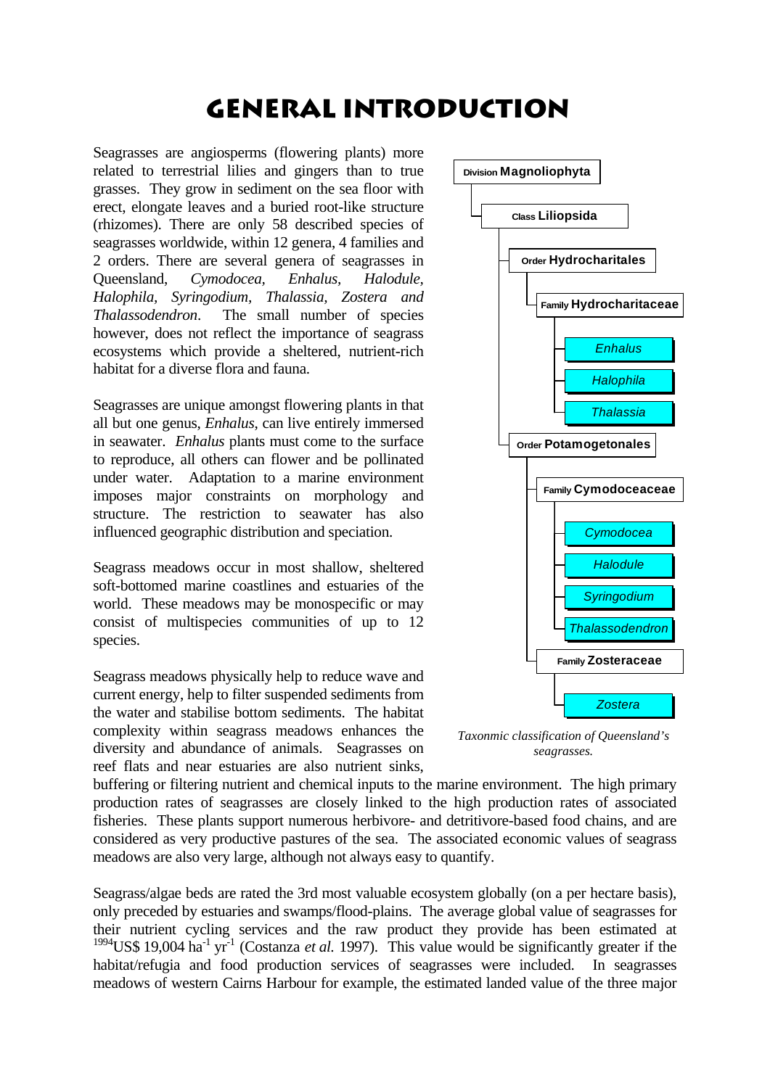# **General Introduction**

Seagrasses are angiosperms (flowering plants) more related to terrestrial lilies and gingers than to true grasses. They grow in sediment on the sea floor with erect, elongate leaves and a buried root-like structure (rhizomes). There are only 58 described species of seagrasses worldwide, within 12 genera, 4 families and 2 orders. There are several genera of seagrasses in Queensland, *Cymodocea, Enhalus, Halodule, Halophila, Syringodium, Thalassia, Zostera and Thalassodendron*. The small number of species however, does not reflect the importance of seagrass ecosystems which provide a sheltered, nutrient-rich habitat for a diverse flora and fauna.

Seagrasses are unique amongst flowering plants in that all but one genus, *Enhalus*, can live entirely immersed in seawater. *Enhalus* plants must come to the surface to reproduce, all others can flower and be pollinated under water. Adaptation to a marine environment imposes major constraints on morphology and structure. The restriction to seawater has also influenced geographic distribution and speciation.

Seagrass meadows occur in most shallow, sheltered soft-bottomed marine coastlines and estuaries of the world. These meadows may be monospecific or may consist of multispecies communities of up to 12 species.

Seagrass meadows physically help to reduce wave and current energy, help to filter suspended sediments from the water and stabilise bottom sediments. The habitat complexity within seagrass meadows enhances the diversity and abundance of animals. Seagrasses on reef flats and near estuaries are also nutrient sinks,



*Taxonmic classification of Queensland's seagrasses.*

buffering or filtering nutrient and chemical inputs to the marine environment. The high primary production rates of seagrasses are closely linked to the high production rates of associated fisheries. These plants support numerous herbivore- and detritivore-based food chains, and are considered as very productive pastures of the sea. The associated economic values of seagrass meadows are also very large, although not always easy to quantify.

Seagrass/algae beds are rated the 3rd most valuable ecosystem globally (on a per hectare basis), only preceded by estuaries and swamps/flood-plains. The average global value of seagrasses for their nutrient cycling services and the raw product they provide has been estimated at <sup>1994</sup>US\$ 19,004 ha<sup>-1</sup> yr<sup>-1</sup> (Costanza *et al.* 1997). This value would be significantly greater if the habitat/refugia and food production services of seagrasses were included. In seagrasses meadows of western Cairns Harbour for example, the estimated landed value of the three major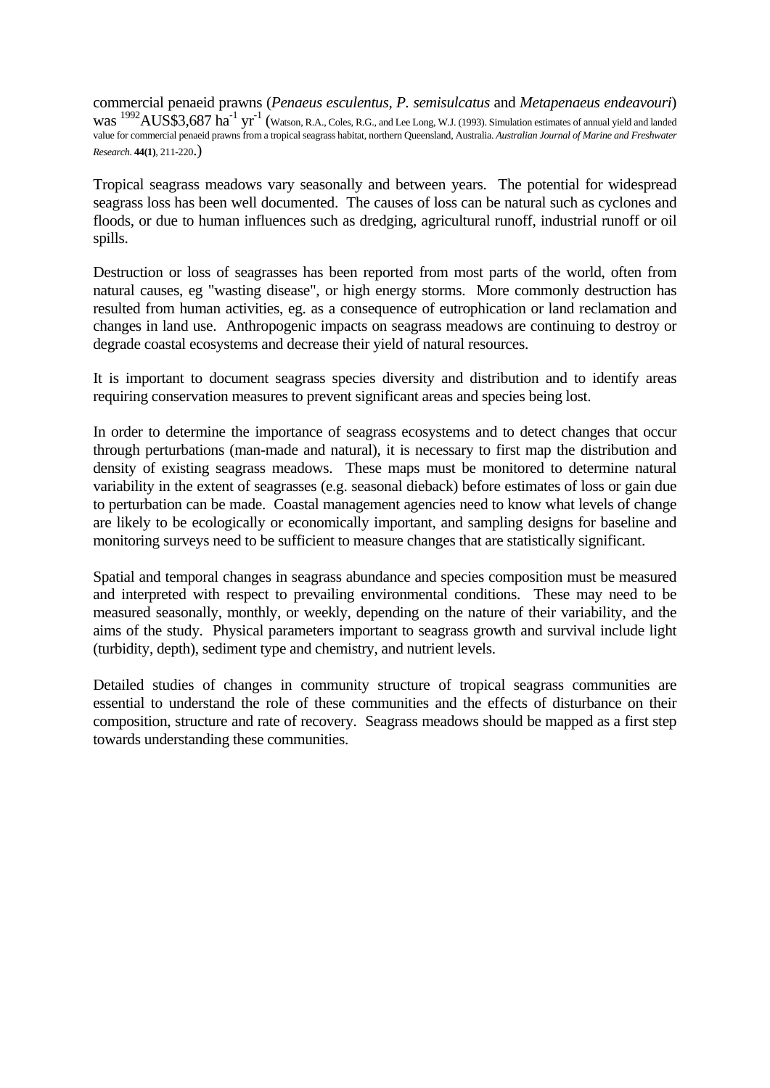commercial penaeid prawns (*Penaeus esculentus, P. semisulcatus* and *Metapenaeus endeavouri*) WAS <sup>1992</sup>AUS\$3,687 ha<sup>-1</sup> yr<sup>-1</sup> (Watson, R.A., Coles, R.G., and Lee Long, W.J. (1993). Simulation estimates of annual yield and landed value for commercial penaeid prawns from a tropical seagrass habitat, northern Queensland, Australia. *Australian Journal of Marine and Freshwater Research*. **44(1)**, 211-220.)

Tropical seagrass meadows vary seasonally and between years. The potential for widespread seagrass loss has been well documented. The causes of loss can be natural such as cyclones and floods, or due to human influences such as dredging, agricultural runoff, industrial runoff or oil spills.

Destruction or loss of seagrasses has been reported from most parts of the world, often from natural causes, eg "wasting disease", or high energy storms. More commonly destruction has resulted from human activities, eg. as a consequence of eutrophication or land reclamation and changes in land use. Anthropogenic impacts on seagrass meadows are continuing to destroy or degrade coastal ecosystems and decrease their yield of natural resources.

It is important to document seagrass species diversity and distribution and to identify areas requiring conservation measures to prevent significant areas and species being lost.

In order to determine the importance of seagrass ecosystems and to detect changes that occur through perturbations (man-made and natural), it is necessary to first map the distribution and density of existing seagrass meadows. These maps must be monitored to determine natural variability in the extent of seagrasses (e.g. seasonal dieback) before estimates of loss or gain due to perturbation can be made. Coastal management agencies need to know what levels of change are likely to be ecologically or economically important, and sampling designs for baseline and monitoring surveys need to be sufficient to measure changes that are statistically significant.

Spatial and temporal changes in seagrass abundance and species composition must be measured and interpreted with respect to prevailing environmental conditions. These may need to be measured seasonally, monthly, or weekly, depending on the nature of their variability, and the aims of the study. Physical parameters important to seagrass growth and survival include light (turbidity, depth), sediment type and chemistry, and nutrient levels.

Detailed studies of changes in community structure of tropical seagrass communities are essential to understand the role of these communities and the effects of disturbance on their composition, structure and rate of recovery. Seagrass meadows should be mapped as a first step towards understanding these communities.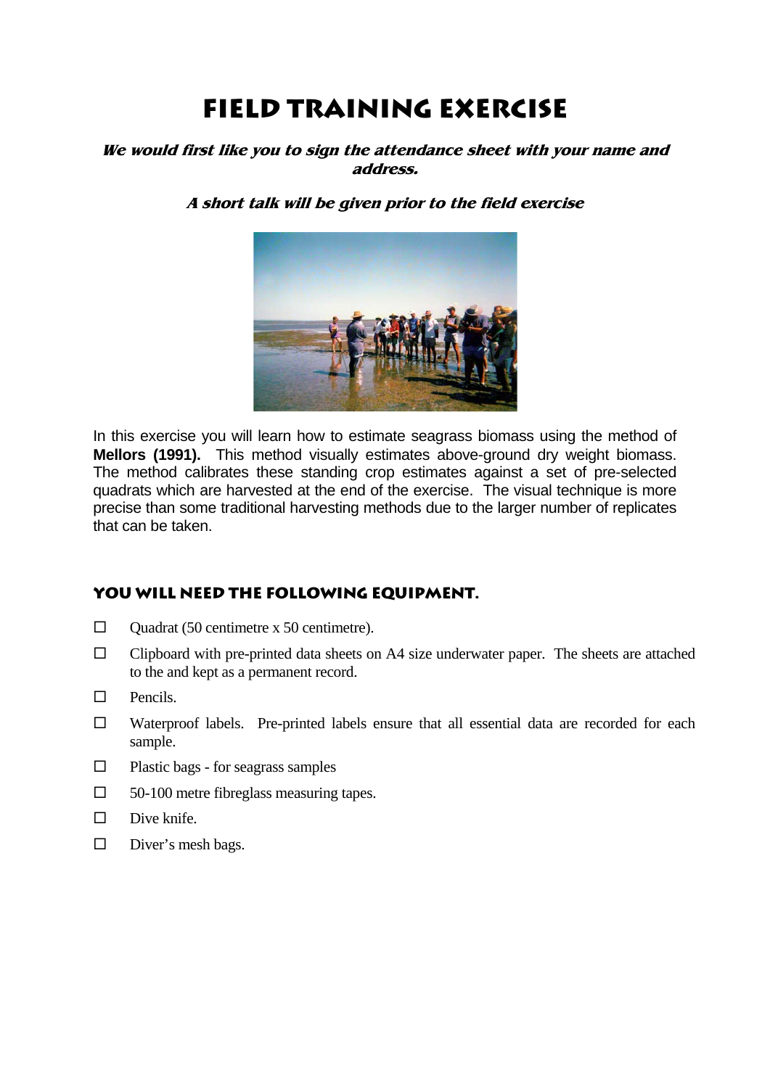# **Field Training exercise**

### **We would first like you to sign the attendance sheet with your name and address.**

### **A short talk will be given prior to the field exercise**



In this exercise you will learn how to estimate seagrass biomass using the method of **Mellors (1991).** This method visually estimates above-ground dry weight biomass. The method calibrates these standing crop estimates against a set of pre-selected quadrats which are harvested at the end of the exercise. The visual technique is more precise than some traditional harvesting methods due to the larger number of replicates that can be taken.

### **you will need the following equipment.**

- $\Box$  Quadrat (50 centimetre x 50 centimetre).
- $\square$  Clipboard with pre-printed data sheets on A4 size underwater paper. The sheets are attached to the and kept as a permanent record.
- $\Box$  Pencils.
- Waterproof labels. Pre-printed labels ensure that all essential data are recorded for each sample.
- $\Box$  Plastic bags for seagrass samples
- $\Box$  50-100 metre fibreglass measuring tapes.
- $\square$  Dive knife.
- $\square$  Diver's mesh bags.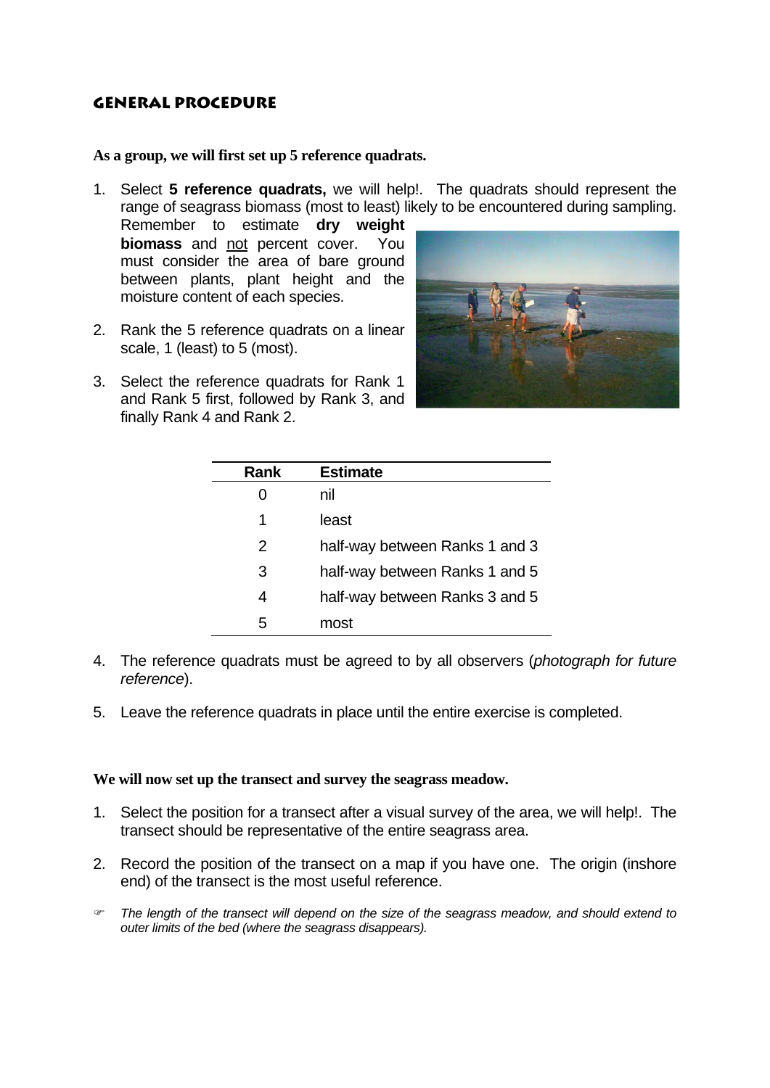### **General Procedure**

**As a group, we will first set up 5 reference quadrats.** 

1. Select **5 reference quadrats,** we will help!. The quadrats should represent the range of seagrass biomass (most to least) likely to be encountered during sampling.

Remember to estimate **dry weight biomass** and not percent cover. must consider the area of bare ground between plants, plant height and the moisture content of each species.

- 2. Rank the 5 reference quadrats on a linear scale, 1 (least) to 5 (most).
- 3. Select the reference quadrats for Rank 1 and Rank 5 first, followed by Rank 3, and finally Rank 4 and Rank 2.



| Rank | <b>Estimate</b>                |
|------|--------------------------------|
| 0    | nil                            |
| 1    | least                          |
| 2    | half-way between Ranks 1 and 3 |
| 3    | half-way between Ranks 1 and 5 |
| 4    | half-way between Ranks 3 and 5 |
| 5    | most                           |

- 4. The reference quadrats must be agreed to by all observers (*photograph for future reference*).
- 5. Leave the reference quadrats in place until the entire exercise is completed.

### **We will now set up the transect and survey the seagrass meadow.**

- 1. Select the position for a transect after a visual survey of the area, we will help!. The transect should be representative of the entire seagrass area.
- 2. Record the position of the transect on a map if you have one. The origin (inshore end) of the transect is the most useful reference.
- ) *The length of the transect will depend on the size of the seagrass meadow, and should extend to outer limits of the bed (where the seagrass disappears).*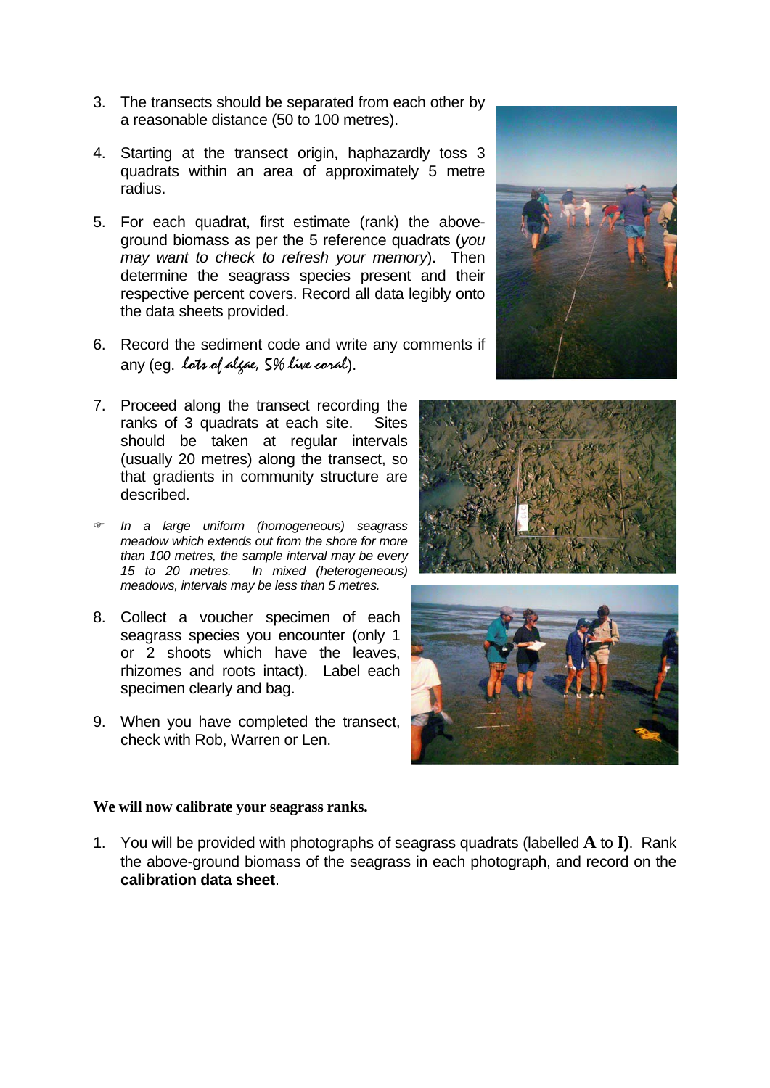- 3. The transects should be separated from each other by a reasonable distance (50 to 100 metres).
- 4. Starting at the transect origin, haphazardly toss 3 quadrats within an area of approximately 5 metre radius.
- 5. For each quadrat, first estimate (rank) the aboveground biomass as per the 5 reference quadrats (*you may want to check to refresh your memory*). Then determine the seagrass species present and their respective percent covers. Record all data legibly onto the data sheets provided.
- 6. Record the sediment code and write any comments if any (eg. lots of algae, 5% live coral).
- 7. Proceed along the transect recording the ranks of 3 quadrats at each site. Sites should be taken at regular intervals (usually 20 metres) along the transect, so that gradients in community structure are described.
- ) *In a large uniform (homogeneous) seagrass meadow which extends out from the shore for more than 100 metres, the sample interval may be every 15 to 20 metres. In mixed (heterogeneous) meadows, intervals may be less than 5 metres.*
- 8. Collect a voucher specimen of each seagrass species you encounter (only 1 or 2 shoots which have the leaves, rhizomes and roots intact). Label each specimen clearly and bag.
- 9. When you have completed the transect, check with Rob, Warren or Len.





### **We will now calibrate your seagrass ranks.**

1. You will be provided with photographs of seagrass quadrats (labelled **A** to **I)**. Rank the above-ground biomass of the seagrass in each photograph, and record on the **calibration data sheet**.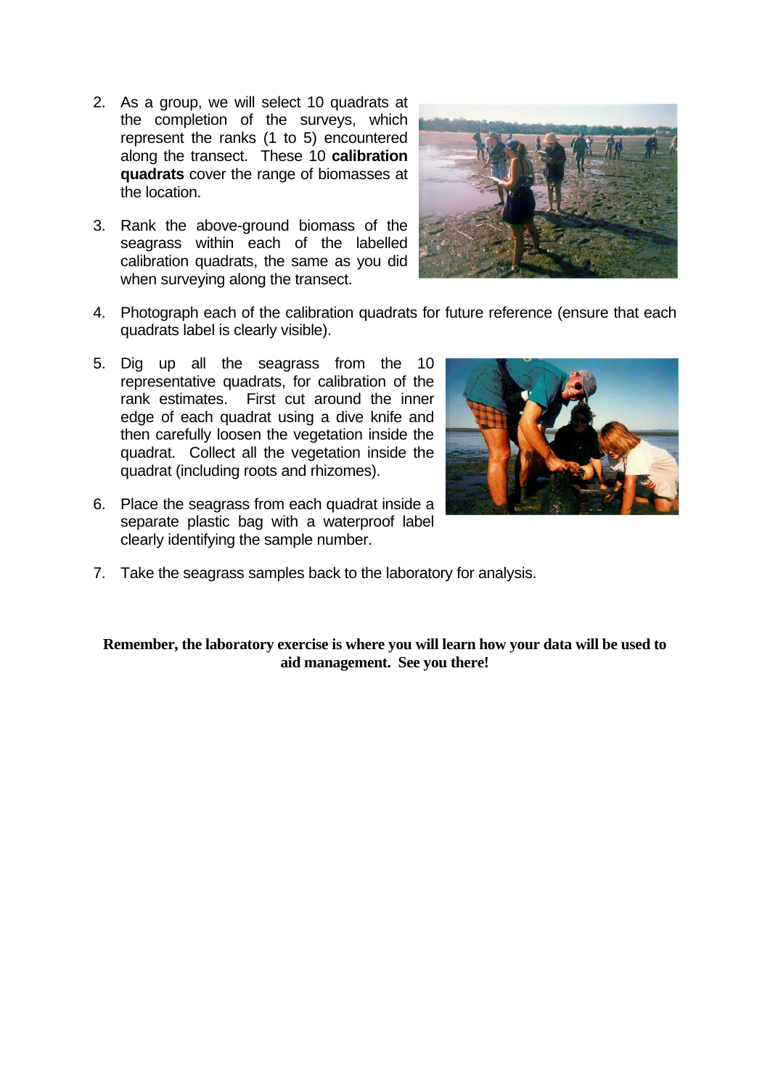- 2. As a group, we will select 10 quadrats at the completion of the surveys, which represent the ranks (1 to 5) encountered along the transect. These 10 **calibration quadrats** cover the range of biomasses at the location.
- 3. Rank the above-ground biomass of the seagrass within each of the labelled calibration quadrats, the same as you did when surveying along the transect.



- 4. Photograph each of the calibration quadrats for future reference (ensure that each quadrats label is clearly visible).
- 5. Dig up all the seagrass from the 10 representative quadrats, for calibration of the rank estimates. First cut around the inner edge of each quadrat using a dive knife and then carefully loosen the vegetation inside the quadrat. Collect all the vegetation inside the quadrat (including roots and rhizomes).
- 6. Place the seagrass from each quadrat inside a separate plastic bag with a waterproof label clearly identifying the sample number.



7. Take the seagrass samples back to the laboratory for analysis.

**Remember, the laboratory exercise is where you will learn how your data will be used to aid management. See you there!**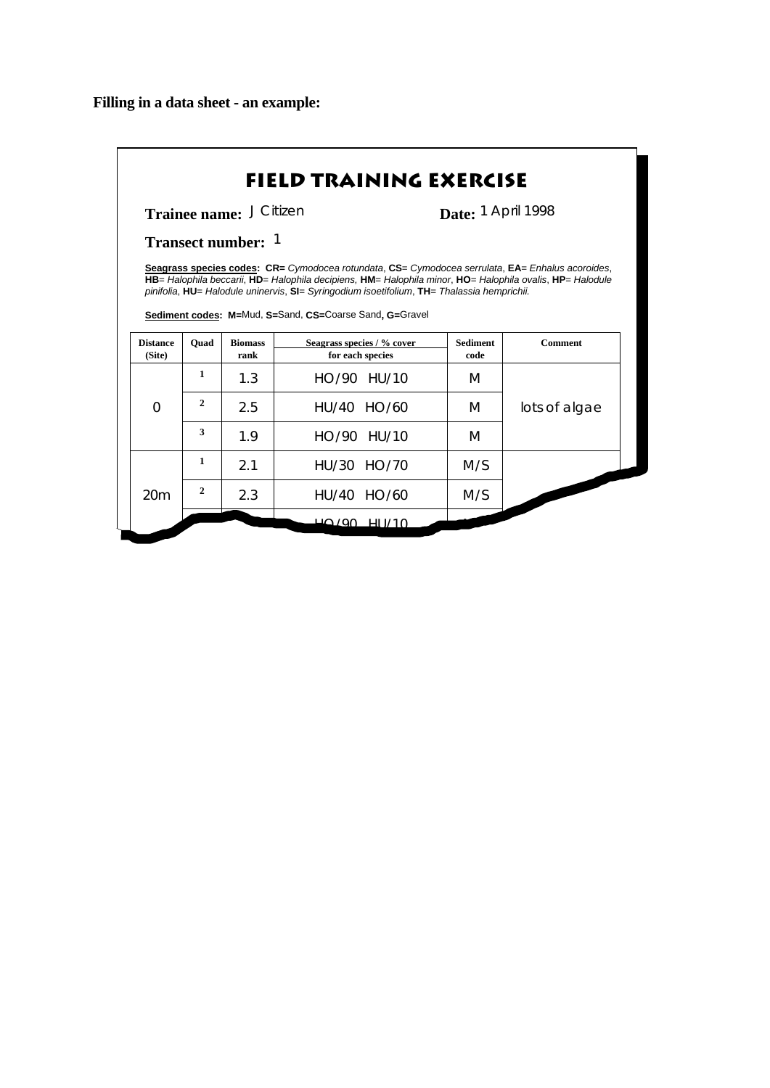| Trainee name: J Citizen               |              |                |                                                                                                                                                                                                                                                                                                                                                                                                     | Date: 1 April 1998 |                |
|---------------------------------------|--------------|----------------|-----------------------------------------------------------------------------------------------------------------------------------------------------------------------------------------------------------------------------------------------------------------------------------------------------------------------------------------------------------------------------------------------------|--------------------|----------------|
| <b>Transect number:</b> $\frac{7}{2}$ |              |                |                                                                                                                                                                                                                                                                                                                                                                                                     |                    |                |
| <b>Distance</b>                       | Ouad         | <b>Biomass</b> | Seagrass species codes: CR= Cymodocea rotundata, CS= Cymodocea serrulata, EA= Enhalus acoroides,<br>HB= Halophila beccarii, HD= Halophila decipiens, HM= Halophila minor, HO= Halophila ovalis, HP= Halodule<br>pinifolia, HU= Halodule uninervis, SI= Syringodium isoetifolium, TH= Thalassia hemprichii.<br>Sediment codes: M=Mud, S=Sand, CS=Coarse Sand, G=Gravel<br>Seagrass species / % cover | <b>Sediment</b>    | <b>Comment</b> |
|                                       |              |                |                                                                                                                                                                                                                                                                                                                                                                                                     |                    |                |
| (Site)                                | 1            | rank           | for each species                                                                                                                                                                                                                                                                                                                                                                                    | code               |                |
| $\Omega$                              | $\mathbf{2}$ | 1.3<br>2.5     | HO/90 HU/10<br>HU/40 HO/60                                                                                                                                                                                                                                                                                                                                                                          | M<br>M             | lots of algae  |
|                                       | 3            | 19             | HO/90 HU/10                                                                                                                                                                                                                                                                                                                                                                                         | M                  |                |
|                                       | 1            | 2.1            | HU/30 HO/70                                                                                                                                                                                                                                                                                                                                                                                         | M/S                |                |
| 20m                                   | 2            | 2.3            | HU/40 HO/60                                                                                                                                                                                                                                                                                                                                                                                         | M/S                |                |

<u> 1989 - Johann Barbara, martxa alemaniar a</u>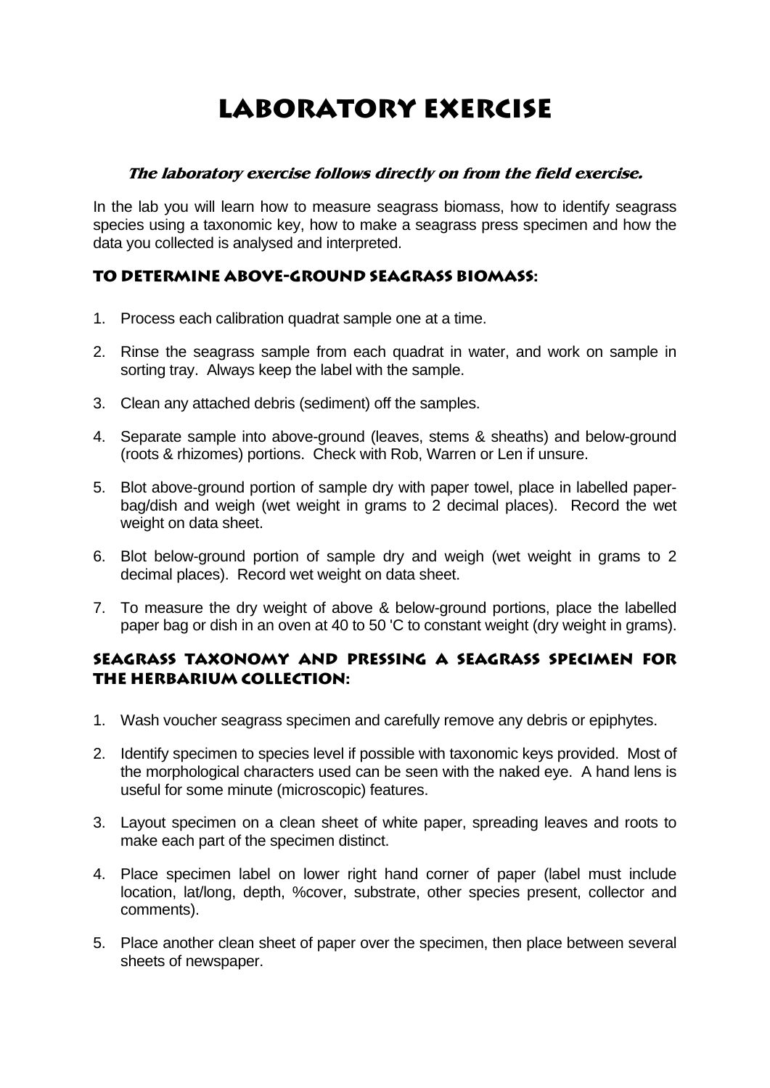# **Laboratory exercise**

### **The laboratory exercise follows directly on from the field exercise.**

In the lab you will learn how to measure seagrass biomass, how to identify seagrass species using a taxonomic key, how to make a seagrass press specimen and how the data you collected is analysed and interpreted.

### **To determine above-ground seagrass biomass:**

- 1. Process each calibration quadrat sample one at a time.
- 2. Rinse the seagrass sample from each quadrat in water, and work on sample in sorting tray. Always keep the label with the sample.
- 3. Clean any attached debris (sediment) off the samples.
- 4. Separate sample into above-ground (leaves, stems & sheaths) and below-ground (roots & rhizomes) portions. Check with Rob, Warren or Len if unsure.
- 5. Blot above-ground portion of sample dry with paper towel, place in labelled paperbag/dish and weigh (wet weight in grams to 2 decimal places). Record the wet weight on data sheet.
- 6. Blot below-ground portion of sample dry and weigh (wet weight in grams to 2 decimal places). Record wet weight on data sheet.
- 7. To measure the dry weight of above & below-ground portions, place the labelled paper bag or dish in an oven at 40 to 50 'C to constant weight (dry weight in grams).

### **Seagrass taxonomy and pressing a seagrass specimen for the herbarium collection:**

- 1. Wash voucher seagrass specimen and carefully remove any debris or epiphytes.
- 2. Identify specimen to species level if possible with taxonomic keys provided. Most of the morphological characters used can be seen with the naked eye. A hand lens is useful for some minute (microscopic) features.
- 3. Layout specimen on a clean sheet of white paper, spreading leaves and roots to make each part of the specimen distinct.
- 4. Place specimen label on lower right hand corner of paper (label must include location, lat/long, depth, %cover, substrate, other species present, collector and comments).
- 5. Place another clean sheet of paper over the specimen, then place between several sheets of newspaper.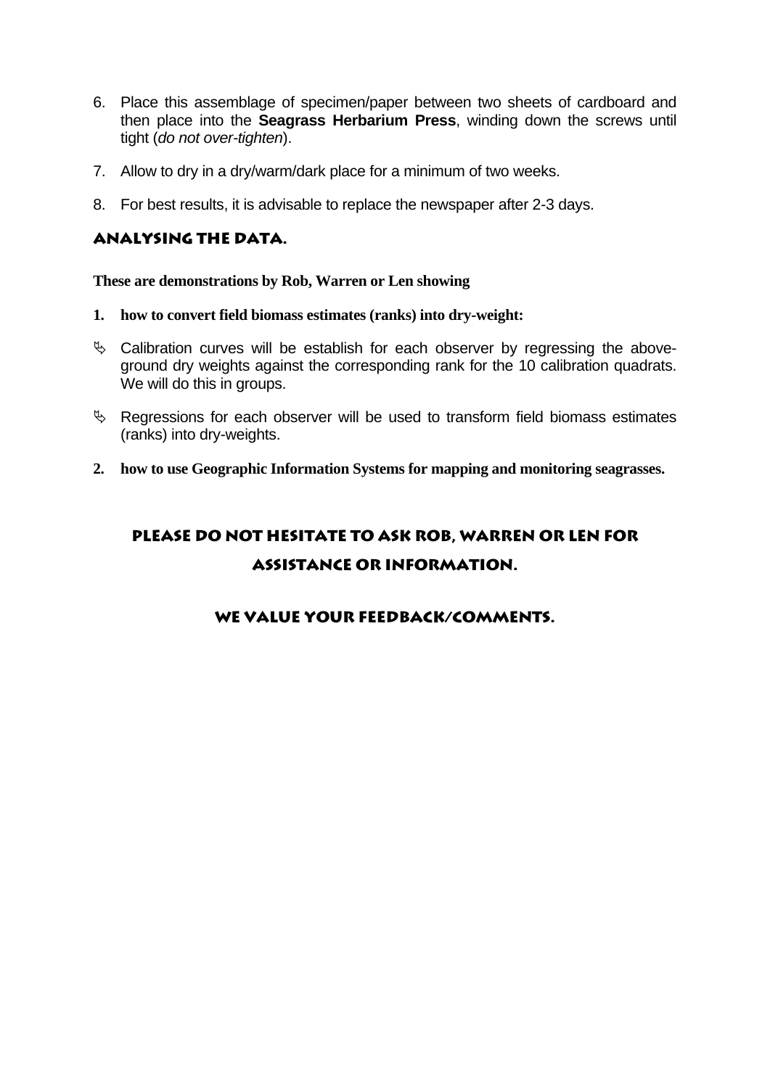- 6. Place this assemblage of specimen/paper between two sheets of cardboard and then place into the **Seagrass Herbarium Press**, winding down the screws until tight (*do not over-tighten*).
- 7. Allow to dry in a dry/warm/dark place for a minimum of two weeks.
- 8. For best results, it is advisable to replace the newspaper after 2-3 days.

### **Analysing the data.**

**These are demonstrations by Rob, Warren or Len showing** 

- **1. how to convert field biomass estimates (ranks) into dry-weight:**
- $\%$  Calibration curves will be establish for each observer by regressing the aboveground dry weights against the corresponding rank for the 10 calibration quadrats. We will do this in groups.
- $\%$  Regressions for each observer will be used to transform field biomass estimates (ranks) into dry-weights.
- **2. how to use Geographic Information Systems for mapping and monitoring seagrasses.**

### **Please do not hesitate to ask rob, warren or len for assistance or information.**

### **we value your feedback/comments.**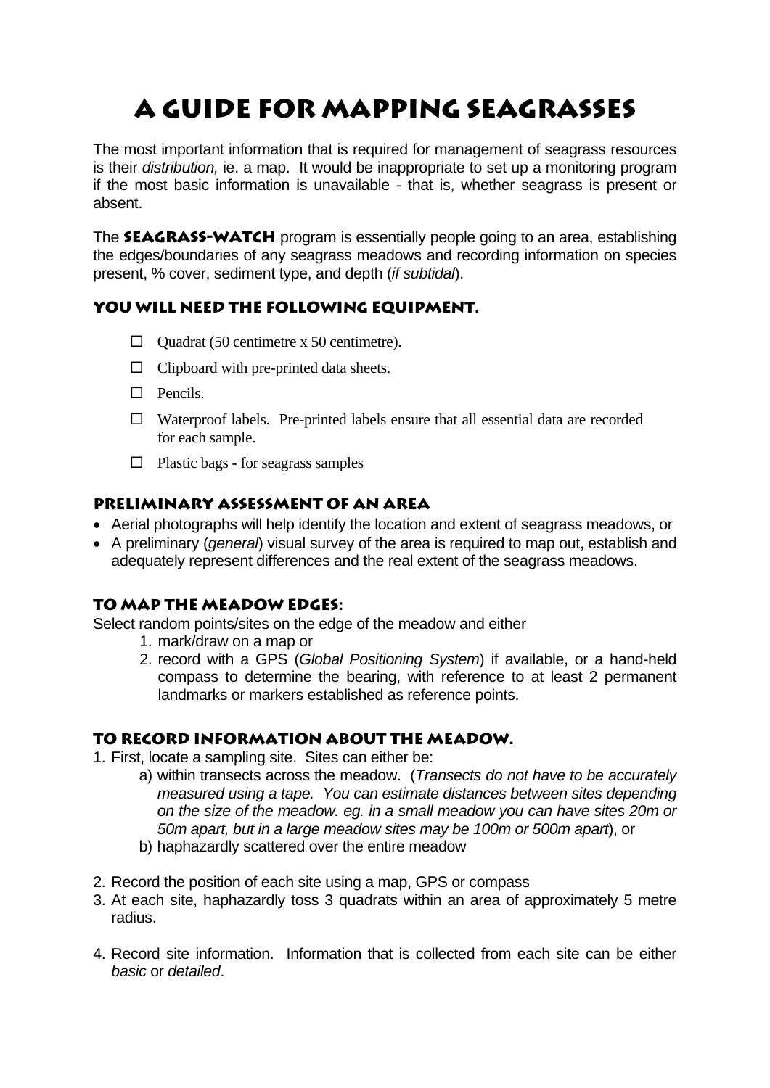# **a guide for mapping seagrasses**

The most important information that is required for management of seagrass resources is their *distribution,* ie. a map. It would be inappropriate to set up a monitoring program if the most basic information is unavailable - that is, whether seagrass is present or absent.

The **SEAGRASS-WATCH** program is essentially people going to an area, establishing the edges/boundaries of any seagrass meadows and recording information on species present, % cover, sediment type, and depth (*if subtidal*).

### **you will need the following equipment.**

- $\Box$  Ouadrat (50 centimetre x 50 centimetre).
- $\Box$  Clipboard with pre-printed data sheets.
- $\Box$  Pencils.
- $\Box$  Waterproof labels. Pre-printed labels ensure that all essential data are recorded for each sample.
- $\Box$  Plastic bags for seagrass samples

### **preliminary assessment of an area**

- Aerial photographs will help identify the location and extent of seagrass meadows, or
- A preliminary (*general*) visual survey of the area is required to map out, establish and adequately represent differences and the real extent of the seagrass meadows.

### **To map the meadow edges:**

Select random points/sites on the edge of the meadow and either

- 1. mark/draw on a map or
- 2. record with a GPS (*Global Positioning System*) if available, or a hand-held compass to determine the bearing, with reference to at least 2 permanent landmarks or markers established as reference points.

### **To record information about the meadow.**

- 1. First, locate a sampling site. Sites can either be:
	- a) within transects across the meadow. (*Transects do not have to be accurately measured using a tape. You can estimate distances between sites depending on the size of the meadow. eg. in a small meadow you can have sites 20m or 50m apart, but in a large meadow sites may be 100m or 500m apart*), or b) haphazardly scattered over the entire meadow
- 2. Record the position of each site using a map, GPS or compass
- 3. At each site, haphazardly toss 3 quadrats within an area of approximately 5 metre radius.
- 4. Record site information. Information that is collected from each site can be either *basic* or *detailed*.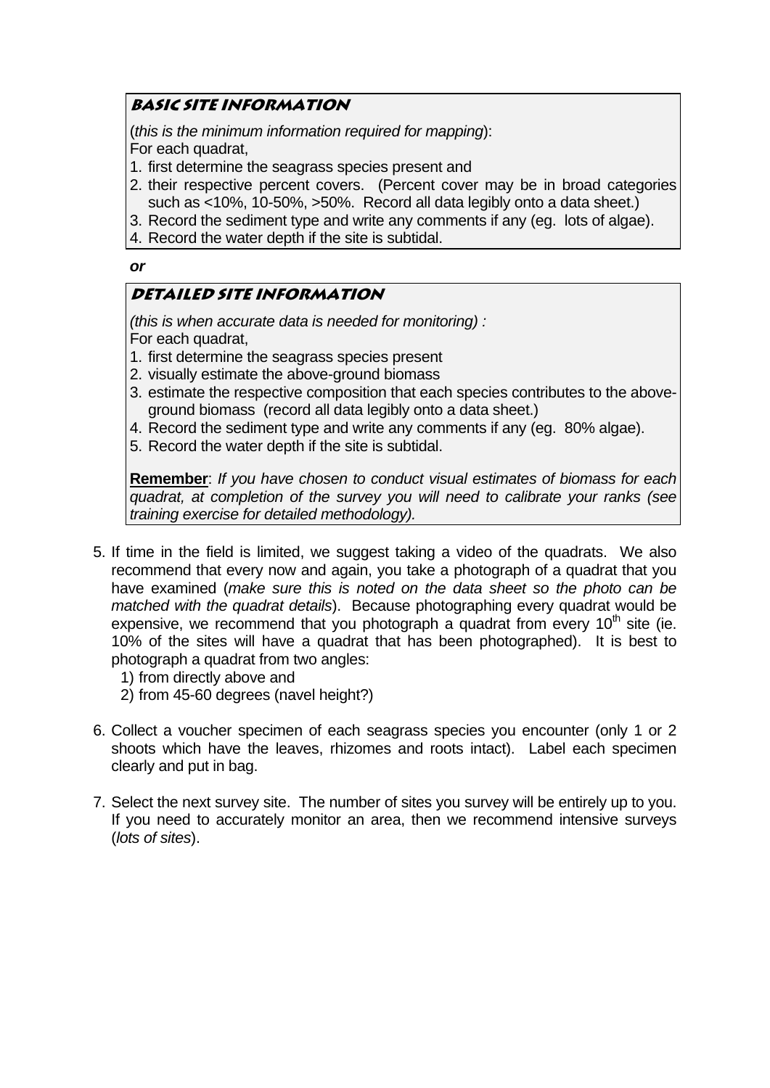### **basic site information**

(*this is the minimum information required for mapping*): For each quadrat,

- 1. first determine the seagrass species present and
- 2. their respective percent covers. (Percent cover may be in broad categories such as <10%, 10-50%, >50%. Record all data legibly onto a data sheet.)
- 3. Record the sediment type and write any comments if any (eg. lots of algae).
- 4. Record the water depth if the site is subtidal.

### *or*

### **Detailed site information**

*(this is when accurate data is needed for monitoring) :*  For each quadrat,

- 1. first determine the seagrass species present
- 2. visually estimate the above-ground biomass
- 3. estimate the respective composition that each species contributes to the aboveground biomass (record all data legibly onto a data sheet.)
- 4. Record the sediment type and write any comments if any (eg. 80% algae).
- 5. Record the water depth if the site is subtidal.

**Remember**: *If you have chosen to conduct visual estimates of biomass for each quadrat, at completion of the survey you will need to calibrate your ranks (see training exercise for detailed methodology).*

- 5. If time in the field is limited, we suggest taking a video of the quadrats. We also recommend that every now and again, you take a photograph of a quadrat that you have examined (*make sure this is noted on the data sheet so the photo can be matched with the quadrat details*). Because photographing every quadrat would be expensive, we recommend that you photograph a quadrat from every  $10<sup>th</sup>$  site (ie. 10% of the sites will have a quadrat that has been photographed). It is best to photograph a quadrat from two angles:
	- 1) from directly above and
	- 2) from 45-60 degrees (navel height?)
- 6. Collect a voucher specimen of each seagrass species you encounter (only 1 or 2 shoots which have the leaves, rhizomes and roots intact). Label each specimen clearly and put in bag.
- 7. Select the next survey site. The number of sites you survey will be entirely up to you. If you need to accurately monitor an area, then we recommend intensive surveys (*lots of sites*).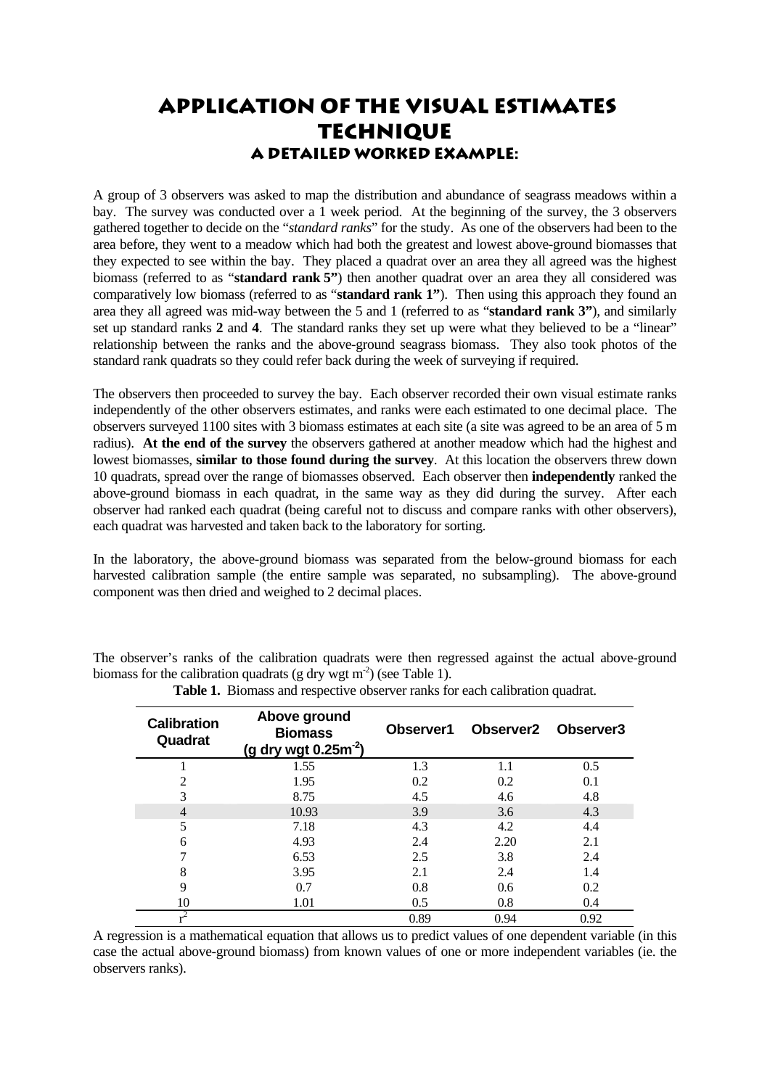### **Application of the visual estimates technique A detailed worked example:**

A group of 3 observers was asked to map the distribution and abundance of seagrass meadows within a bay. The survey was conducted over a 1 week period. At the beginning of the survey, the 3 observers gathered together to decide on the "*standard ranks*" for the study. As one of the observers had been to the area before, they went to a meadow which had both the greatest and lowest above-ground biomasses that they expected to see within the bay. They placed a quadrat over an area they all agreed was the highest biomass (referred to as "**standard rank 5"**) then another quadrat over an area they all considered was comparatively low biomass (referred to as "**standard rank 1"**). Then using this approach they found an area they all agreed was mid-way between the 5 and 1 (referred to as "**standard rank 3"**), and similarly set up standard ranks **2** and **4**. The standard ranks they set up were what they believed to be a "linear" relationship between the ranks and the above-ground seagrass biomass. They also took photos of the standard rank quadrats so they could refer back during the week of surveying if required.

The observers then proceeded to survey the bay. Each observer recorded their own visual estimate ranks independently of the other observers estimates, and ranks were each estimated to one decimal place. The observers surveyed 1100 sites with 3 biomass estimates at each site (a site was agreed to be an area of 5 m radius). **At the end of the survey** the observers gathered at another meadow which had the highest and lowest biomasses, **similar to those found during the survey**. At this location the observers threw down 10 quadrats, spread over the range of biomasses observed. Each observer then **independently** ranked the above-ground biomass in each quadrat, in the same way as they did during the survey. After each observer had ranked each quadrat (being careful not to discuss and compare ranks with other observers), each quadrat was harvested and taken back to the laboratory for sorting.

In the laboratory, the above-ground biomass was separated from the below-ground biomass for each harvested calibration sample (the entire sample was separated, no subsampling). The above-ground component was then dried and weighed to 2 decimal places.

The observer's ranks of the calibration quadrats were then regressed against the actual above-ground biomass for the calibration quadrats (g dry wgt m<sup>-2</sup>) (see Table 1).

| <b>Calibration</b><br>Quadrat | Above ground<br><b>Biomass</b><br>(g dry wgt $0.25m^{-2}$ ) | Observer1 |      | Observer <sub>2</sub> Observer <sub>3</sub> |
|-------------------------------|-------------------------------------------------------------|-----------|------|---------------------------------------------|
|                               | 1.55                                                        | 1.3       | 1.1  | 0.5                                         |
| $\overline{2}$                | 1.95                                                        | 0.2       | 0.2  | 0.1                                         |
| 3                             | 8.75                                                        | 4.5       | 4.6  | 4.8                                         |
| $\overline{4}$                | 10.93                                                       | 3.9       | 3.6  | 4.3                                         |
| 5                             | 7.18                                                        | 4.3       | 4.2  | 4.4                                         |
| 6                             | 4.93                                                        | 2.4       | 2.20 | 2.1                                         |
|                               | 6.53                                                        | 2.5       | 3.8  | 2.4                                         |
| 8                             | 3.95                                                        | 2.1       | 2.4  | 1.4                                         |
| 9                             | 0.7                                                         | 0.8       | 0.6  | 0.2                                         |
| 10                            | 1.01                                                        | 0.5       | 0.8  | 0.4                                         |
|                               |                                                             | 0.89      | 0.94 | 0.92                                        |

**Table 1.** Biomass and respective observer ranks for each calibration quadrat.

A regression is a mathematical equation that allows us to predict values of one dependent variable (in this case the actual above-ground biomass) from known values of one or more independent variables (ie. the observers ranks).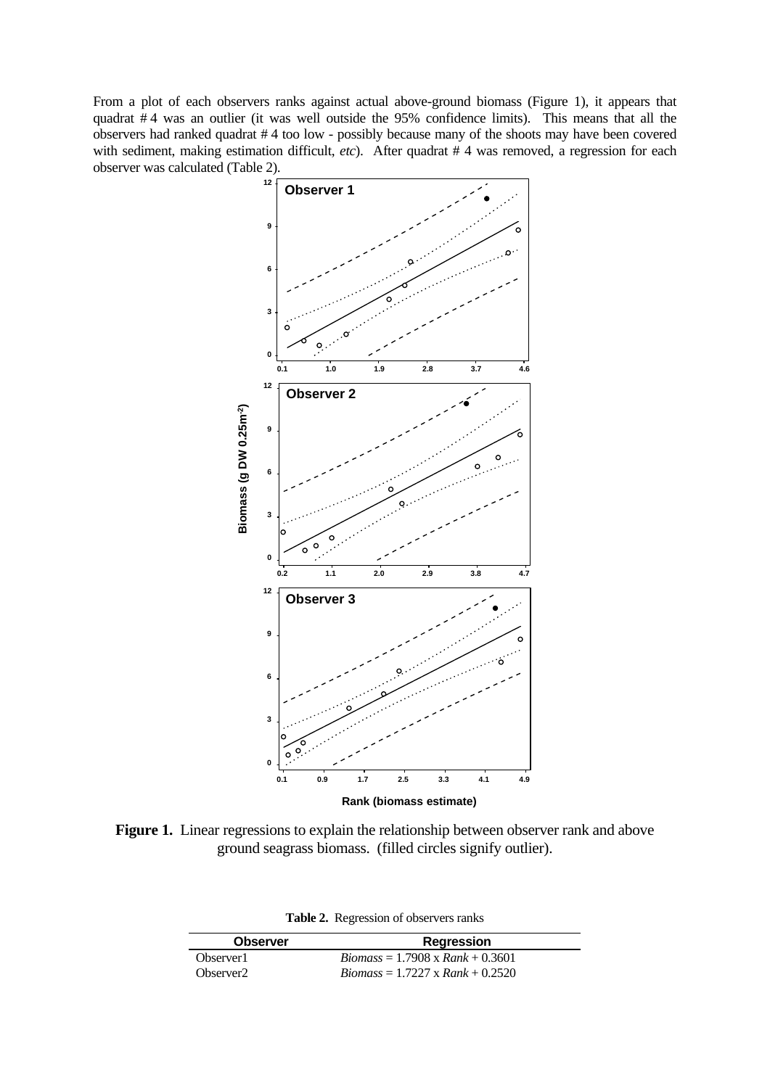From a plot of each observers ranks against actual above-ground biomass (Figure 1), it appears that quadrat # 4 was an outlier (it was well outside the 95% confidence limits). This means that all the observers had ranked quadrat # 4 too low - possibly because many of the shoots may have been covered with sediment, making estimation difficult, *etc*). After quadrat # 4 was removed, a regression for each observer was calculated (Table 2).



Figure 1. Linear regressions to explain the relationship between observer rank and above ground seagrass biomass. (filled circles signify outlier).

| Table 2. Regression of observers ranks |  |
|----------------------------------------|--|
|                                        |  |

| <b>Observer</b>       | <b>Regression</b>                       |
|-----------------------|-----------------------------------------|
| Observer1             | $Biomass = 1.7908 \times Rank + 0.3601$ |
| Observer <sub>2</sub> | $Biomass = 1.7227 \times Rank + 0.2520$ |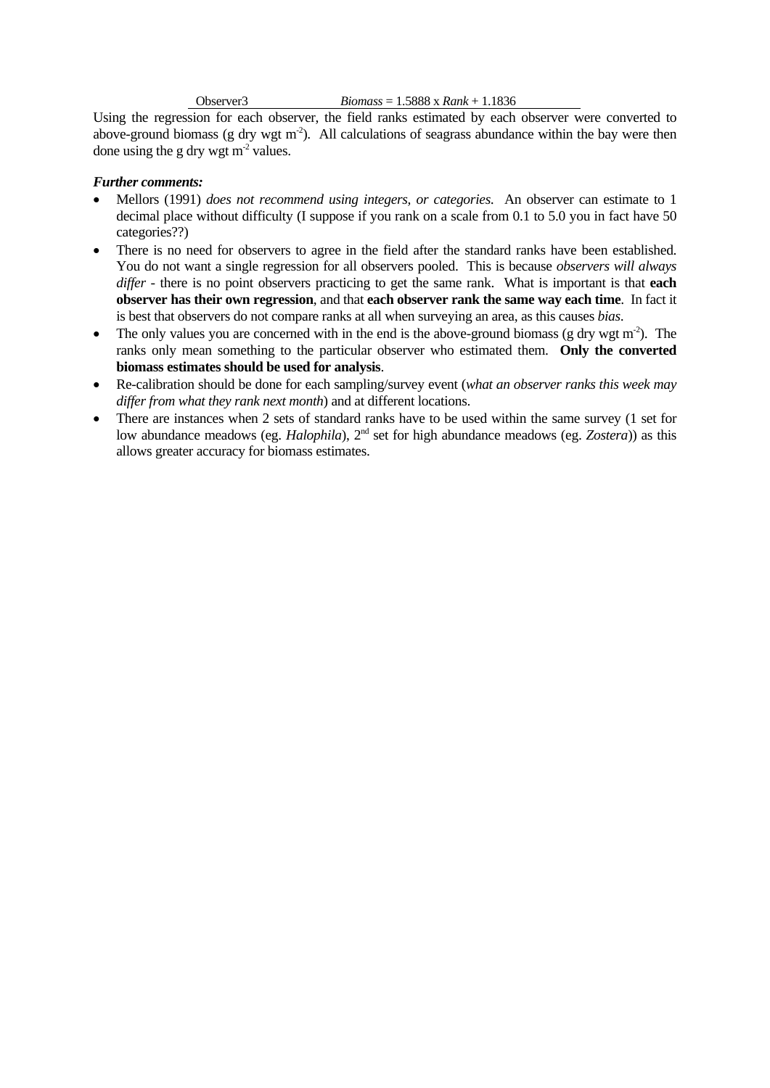### Observer3 *Biomass* = 1.5888 x *Rank* + 1.1836

Using the regression for each observer, the field ranks estimated by each observer were converted to above-ground biomass (g dry wgt m<sup>-2</sup>). All calculations of seagrass abundance within the bay were then done using the g dry wgt  $m<sup>2</sup>$  values.

### *Further comments:*

- Mellors (1991) *does not recommend using integers, or categories*. An observer can estimate to 1 decimal place without difficulty (I suppose if you rank on a scale from 0.1 to 5.0 you in fact have 50 categories??)
- There is no need for observers to agree in the field after the standard ranks have been established. You do not want a single regression for all observers pooled. This is because *observers will always differ* - there is no point observers practicing to get the same rank. What is important is that **each observer has their own regression**, and that **each observer rank the same way each time**. In fact it is best that observers do not compare ranks at all when surveying an area, as this causes *bias*.
- The only values you are concerned with in the end is the above-ground biomass (g dry wgt m<sup>-2</sup>). The ranks only mean something to the particular observer who estimated them. **Only the converted biomass estimates should be used for analysis**.
- Re-calibration should be done for each sampling/survey event (*what an observer ranks this week may differ from what they rank next month*) and at different locations.
- There are instances when 2 sets of standard ranks have to be used within the same survey (1 set for low abundance meadows (eg. *Halophila*), 2<sup>nd</sup> set for high abundance meadows (eg. *Zostera*)) as this allows greater accuracy for biomass estimates.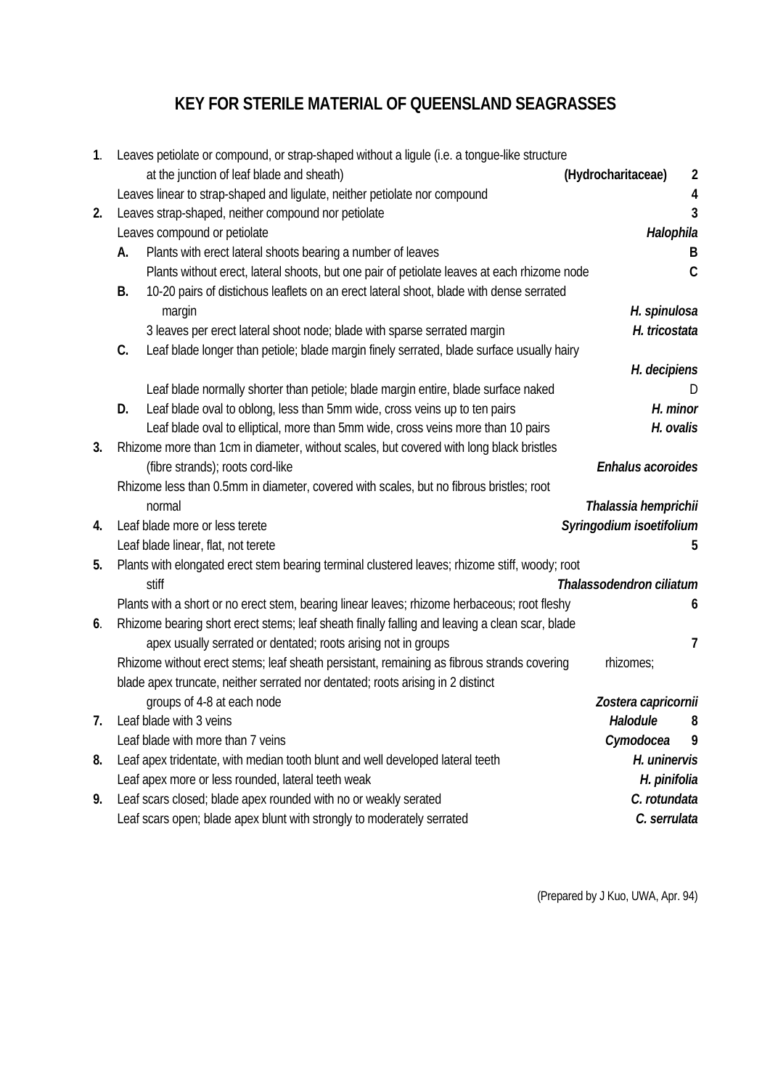### **KEY FOR STERILE MATERIAL OF QUEENSLAND SEAGRASSES**

| 1. |    | Leaves petiolate or compound, or strap-shaped without a ligule (i.e. a tongue-like structure   |                          |                |
|----|----|------------------------------------------------------------------------------------------------|--------------------------|----------------|
|    |    | at the junction of leaf blade and sheath)                                                      | (Hydrocharitaceae)       | $\overline{2}$ |
|    |    | Leaves linear to strap-shaped and ligulate, neither petiolate nor compound                     |                          | 4              |
| 2. |    | Leaves strap-shaped, neither compound nor petiolate                                            |                          | 3              |
|    |    | Leaves compound or petiolate                                                                   | Halophila                |                |
|    | A. | Plants with erect lateral shoots bearing a number of leaves                                    |                          | В              |
|    |    | Plants without erect, lateral shoots, but one pair of petiolate leaves at each rhizome node    |                          | $\mathsf{C}$   |
|    | В. | 10-20 pairs of distichous leaflets on an erect lateral shoot, blade with dense serrated        |                          |                |
|    |    | margin                                                                                         | H. spinulosa             |                |
|    |    | 3 leaves per erect lateral shoot node; blade with sparse serrated margin                       | H. tricostata            |                |
|    | C. | Leaf blade longer than petiole; blade margin finely serrated, blade surface usually hairy      |                          |                |
|    |    |                                                                                                | H. decipiens             |                |
|    |    | Leaf blade normally shorter than petiole; blade margin entire, blade surface naked             |                          |                |
|    | D. | Leaf blade oval to oblong, less than 5mm wide, cross veins up to ten pairs                     | H. minor                 |                |
|    |    | Leaf blade oval to elliptical, more than 5mm wide, cross veins more than 10 pairs              | H. ovalis                |                |
| 3. |    | Rhizome more than 1cm in diameter, without scales, but covered with long black bristles        |                          |                |
|    |    | (fibre strands); roots cord-like                                                               | Enhalus acoroides        |                |
|    |    | Rhizome less than 0.5mm in diameter, covered with scales, but no fibrous bristles; root        |                          |                |
|    |    | normal                                                                                         | Thalassia hemprichii     |                |
| 4. |    | Leaf blade more or less terete                                                                 | Syringodium isoetifolium |                |
|    |    | Leaf blade linear, flat, not terete                                                            |                          | 5              |
| 5. |    | Plants with elongated erect stem bearing terminal clustered leaves; rhizome stiff, woody; root |                          |                |
|    |    | stiff                                                                                          | Thalassodendron ciliatum |                |
|    |    | Plants with a short or no erect stem, bearing linear leaves; rhizome herbaceous; root fleshy   |                          | 6              |
| 6. |    | Rhizome bearing short erect stems; leaf sheath finally falling and leaving a clean scar, blade |                          |                |
|    |    | apex usually serrated or dentated; roots arising not in groups                                 |                          | 7              |
|    |    | Rhizome without erect stems; leaf sheath persistant, remaining as fibrous strands covering     | rhizomes;                |                |
|    |    | blade apex truncate, neither serrated nor dentated; roots arising in 2 distinct                |                          |                |
|    |    | groups of 4-8 at each node                                                                     | Zostera capricornii      |                |
| 7. |    | Leaf blade with 3 veins                                                                        | Halodule                 | 8              |
|    |    | Leaf blade with more than 7 veins                                                              | Cymodocea                | 9              |
| 8. |    | Leaf apex tridentate, with median tooth blunt and well developed lateral teeth                 | H. uninervis             |                |
|    |    | Leaf apex more or less rounded, lateral teeth weak                                             | H. pinifolia             |                |
| 9. |    | Leaf scars closed; blade apex rounded with no or weakly serated                                | C. rotundata             |                |
|    |    | Leaf scars open; blade apex blunt with strongly to moderately serrated                         | C. serrulata             |                |

(Prepared by J Kuo, UWA, Apr. 94)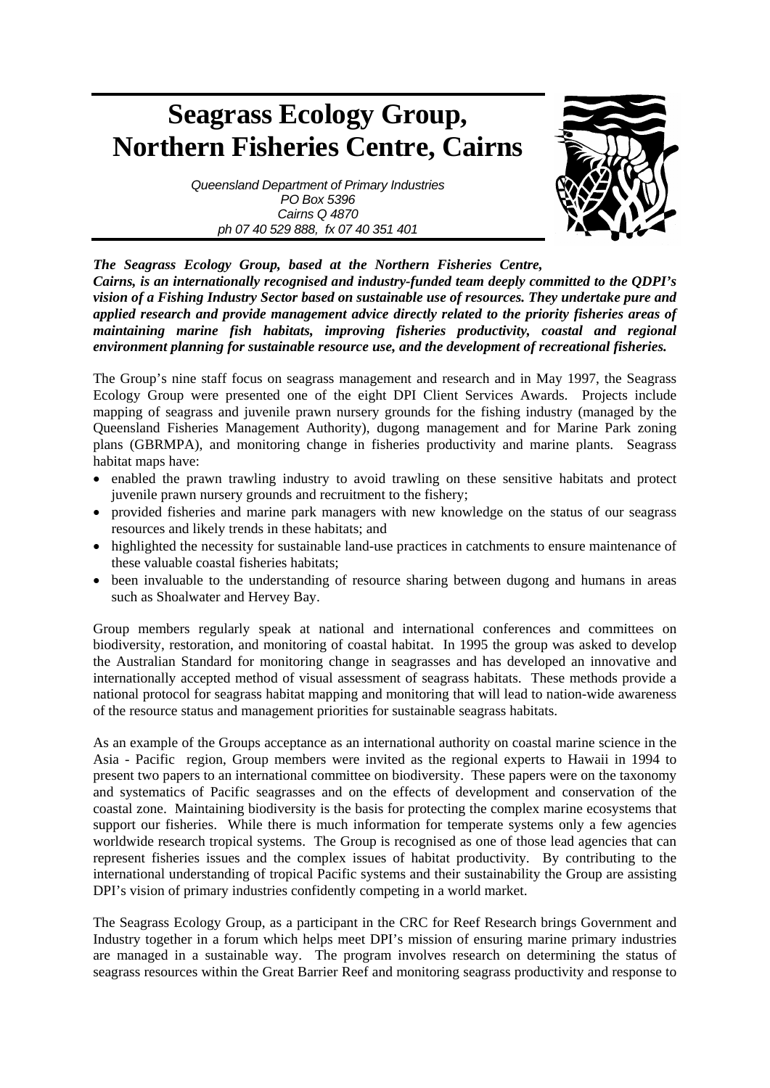# **Seagrass Ecology Group, Northern Fisheries Centre, Cairns**



*Queensland Department of Primary Industries PO Box 5396 Cairns Q 4870 ph 07 40 529 888, fx 07 40 351 401* 

*The Seagrass Ecology Group, based at the Northern Fisheries Centre, Cairns, is an internationally recognised and industry-funded team deeply committed to the QDPI's vision of a Fishing Industry Sector based on sustainable use of resources. They undertake pure and applied research and provide management advice directly related to the priority fisheries areas of maintaining marine fish habitats, improving fisheries productivity, coastal and regional environment planning for sustainable resource use, and the development of recreational fisheries.* 

The Group's nine staff focus on seagrass management and research and in May 1997, the Seagrass Ecology Group were presented one of the eight DPI Client Services Awards. Projects include mapping of seagrass and juvenile prawn nursery grounds for the fishing industry (managed by the Queensland Fisheries Management Authority), dugong management and for Marine Park zoning plans (GBRMPA), and monitoring change in fisheries productivity and marine plants. Seagrass habitat maps have:

- enabled the prawn trawling industry to avoid trawling on these sensitive habitats and protect juvenile prawn nursery grounds and recruitment to the fishery;
- provided fisheries and marine park managers with new knowledge on the status of our seagrass resources and likely trends in these habitats; and
- highlighted the necessity for sustainable land-use practices in catchments to ensure maintenance of these valuable coastal fisheries habitats;
- been invaluable to the understanding of resource sharing between dugong and humans in areas such as Shoalwater and Hervey Bay.

Group members regularly speak at national and international conferences and committees on biodiversity, restoration, and monitoring of coastal habitat. In 1995 the group was asked to develop the Australian Standard for monitoring change in seagrasses and has developed an innovative and internationally accepted method of visual assessment of seagrass habitats. These methods provide a national protocol for seagrass habitat mapping and monitoring that will lead to nation-wide awareness of the resource status and management priorities for sustainable seagrass habitats.

As an example of the Groups acceptance as an international authority on coastal marine science in the Asia - Pacific region, Group members were invited as the regional experts to Hawaii in 1994 to present two papers to an international committee on biodiversity. These papers were on the taxonomy and systematics of Pacific seagrasses and on the effects of development and conservation of the coastal zone. Maintaining biodiversity is the basis for protecting the complex marine ecosystems that support our fisheries. While there is much information for temperate systems only a few agencies worldwide research tropical systems. The Group is recognised as one of those lead agencies that can represent fisheries issues and the complex issues of habitat productivity. By contributing to the international understanding of tropical Pacific systems and their sustainability the Group are assisting DPI's vision of primary industries confidently competing in a world market.

The Seagrass Ecology Group, as a participant in the CRC for Reef Research brings Government and Industry together in a forum which helps meet DPI's mission of ensuring marine primary industries are managed in a sustainable way. The program involves research on determining the status of seagrass resources within the Great Barrier Reef and monitoring seagrass productivity and response to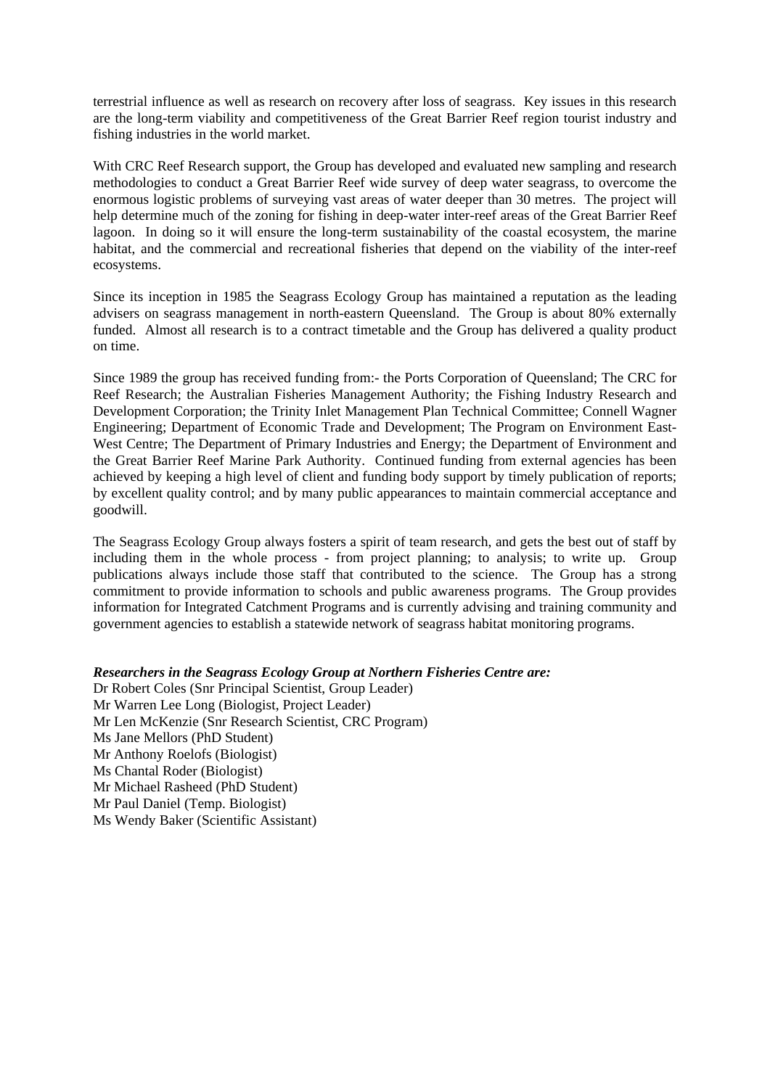terrestrial influence as well as research on recovery after loss of seagrass. Key issues in this research are the long-term viability and competitiveness of the Great Barrier Reef region tourist industry and fishing industries in the world market.

With CRC Reef Research support, the Group has developed and evaluated new sampling and research methodologies to conduct a Great Barrier Reef wide survey of deep water seagrass, to overcome the enormous logistic problems of surveying vast areas of water deeper than 30 metres. The project will help determine much of the zoning for fishing in deep-water inter-reef areas of the Great Barrier Reef lagoon. In doing so it will ensure the long-term sustainability of the coastal ecosystem, the marine habitat, and the commercial and recreational fisheries that depend on the viability of the inter-reef ecosystems.

Since its inception in 1985 the Seagrass Ecology Group has maintained a reputation as the leading advisers on seagrass management in north-eastern Queensland. The Group is about 80% externally funded. Almost all research is to a contract timetable and the Group has delivered a quality product on time.

Since 1989 the group has received funding from:- the Ports Corporation of Queensland; The CRC for Reef Research; the Australian Fisheries Management Authority; the Fishing Industry Research and Development Corporation; the Trinity Inlet Management Plan Technical Committee; Connell Wagner Engineering; Department of Economic Trade and Development; The Program on Environment East-West Centre; The Department of Primary Industries and Energy; the Department of Environment and the Great Barrier Reef Marine Park Authority. Continued funding from external agencies has been achieved by keeping a high level of client and funding body support by timely publication of reports; by excellent quality control; and by many public appearances to maintain commercial acceptance and goodwill.

The Seagrass Ecology Group always fosters a spirit of team research, and gets the best out of staff by including them in the whole process - from project planning; to analysis; to write up. Group publications always include those staff that contributed to the science. The Group has a strong commitment to provide information to schools and public awareness programs. The Group provides information for Integrated Catchment Programs and is currently advising and training community and government agencies to establish a statewide network of seagrass habitat monitoring programs.

### *Researchers in the Seagrass Ecology Group at Northern Fisheries Centre are:*

Dr Robert Coles (Snr Principal Scientist, Group Leader) Mr Warren Lee Long (Biologist, Project Leader) Mr Len McKenzie (Snr Research Scientist, CRC Program) Ms Jane Mellors (PhD Student) Mr Anthony Roelofs (Biologist) Ms Chantal Roder (Biologist) Mr Michael Rasheed (PhD Student) Mr Paul Daniel (Temp. Biologist) Ms Wendy Baker (Scientific Assistant)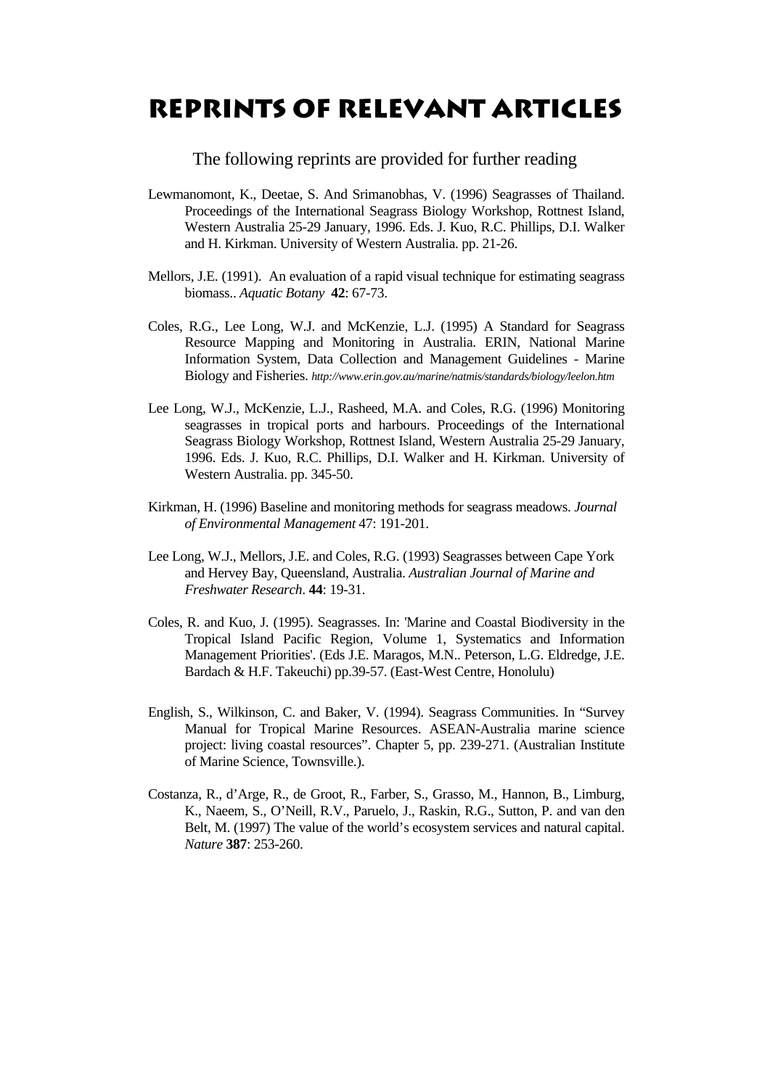### **Reprints of relevant articles**

The following reprints are provided for further reading

- Lewmanomont, K., Deetae, S. And Srimanobhas, V. (1996) Seagrasses of Thailand. Proceedings of the International Seagrass Biology Workshop, Rottnest Island, Western Australia 25-29 January, 1996. Eds. J. Kuo, R.C. Phillips, D.I. Walker and H. Kirkman. University of Western Australia. pp. 21-26.
- Mellors, J.E. (1991). An evaluation of a rapid visual technique for estimating seagrass biomass.. *Aquatic Botany* **42**: 67-73.
- Coles, R.G., Lee Long, W.J. and McKenzie, L.J. (1995) A Standard for Seagrass Resource Mapping and Monitoring in Australia. ERIN, National Marine Information System, Data Collection and Management Guidelines - Marine Biology and Fisheries. *http://www.erin.gov.au/marine/natmis/standards/biology/leelon.htm*
- Lee Long, W.J., McKenzie, L.J., Rasheed, M.A. and Coles, R.G. (1996) Monitoring seagrasses in tropical ports and harbours. Proceedings of the International Seagrass Biology Workshop, Rottnest Island, Western Australia 25-29 January, 1996. Eds. J. Kuo, R.C. Phillips, D.I. Walker and H. Kirkman. University of Western Australia. pp. 345-50.
- Kirkman, H. (1996) Baseline and monitoring methods for seagrass meadows. *Journal of Environmental Management* 47: 191-201.
- Lee Long, W.J., Mellors, J.E. and Coles, R.G. (1993) Seagrasses between Cape York and Hervey Bay, Queensland, Australia. *Australian Journal of Marine and Freshwater Research*. **44**: 19-31.
- Coles, R. and Kuo, J. (1995). Seagrasses. In: 'Marine and Coastal Biodiversity in the Tropical Island Pacific Region, Volume 1, Systematics and Information Management Priorities'. (Eds J.E. Maragos, M.N.. Peterson, L.G. Eldredge, J.E. Bardach & H.F. Takeuchi) pp.39-57. (East-West Centre, Honolulu)
- English, S., Wilkinson, C. and Baker, V. (1994). Seagrass Communities. In "Survey Manual for Tropical Marine Resources. ASEAN-Australia marine science project: living coastal resources". Chapter 5, pp. 239-271. (Australian Institute of Marine Science, Townsville.).
- Costanza, R., d'Arge, R., de Groot, R., Farber, S., Grasso, M., Hannon, B., Limburg, K., Naeem, S., O'Neill, R.V., Paruelo, J., Raskin, R.G., Sutton, P. and van den Belt, M. (1997) The value of the world's ecosystem services and natural capital. *Nature* **387**: 253-260.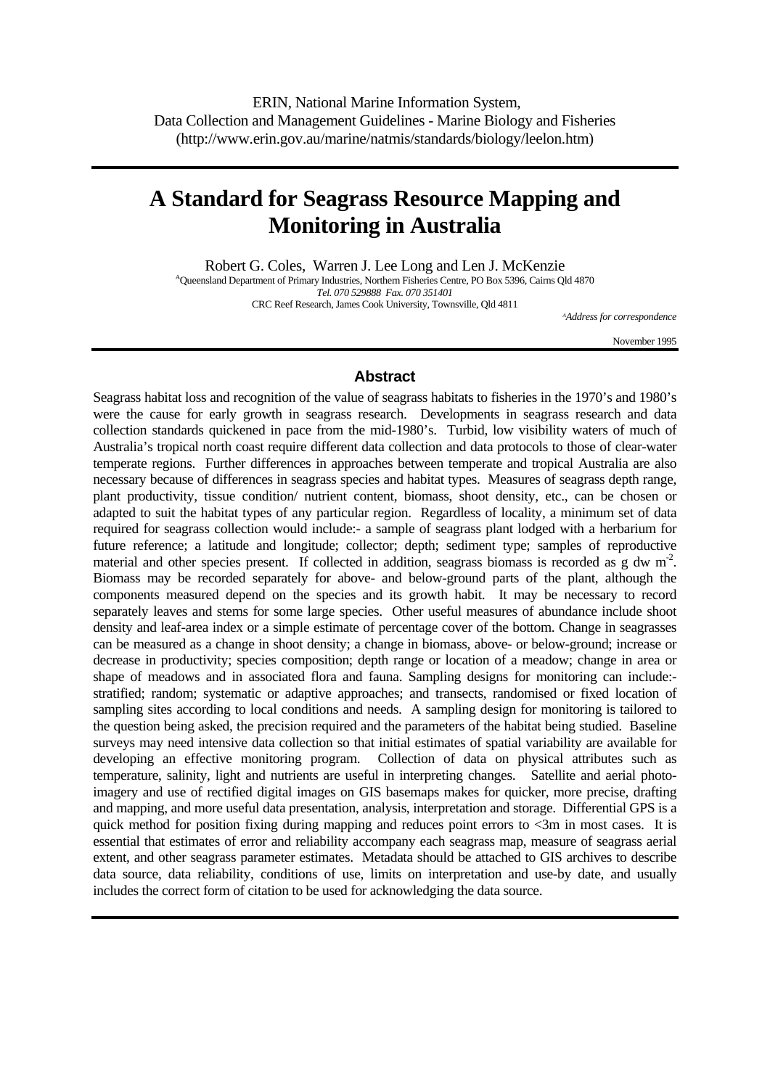### **A Standard for Seagrass Resource Mapping and Monitoring in Australia**

Robert G. Coles, Warren J. Lee Long and Len J. McKenzie

<sup>A</sup>Queensland Department of Primary Industries, Northern Fisheries Centre, PO Box 5396, Cairns Qld 4870 *Tel. 070 529888 Fax. 070 351401*  CRC Reef Research, James Cook University, Townsville, Qld 4811

*A Address for correspondence* 

November 1995

### **Abstract**

Seagrass habitat loss and recognition of the value of seagrass habitats to fisheries in the 1970's and 1980's were the cause for early growth in seagrass research. Developments in seagrass research and data collection standards quickened in pace from the mid-1980's. Turbid, low visibility waters of much of Australia's tropical north coast require different data collection and data protocols to those of clear-water temperate regions. Further differences in approaches between temperate and tropical Australia are also necessary because of differences in seagrass species and habitat types. Measures of seagrass depth range, plant productivity, tissue condition/ nutrient content, biomass, shoot density, etc., can be chosen or adapted to suit the habitat types of any particular region. Regardless of locality, a minimum set of data required for seagrass collection would include:- a sample of seagrass plant lodged with a herbarium for future reference; a latitude and longitude; collector; depth; sediment type; samples of reproductive material and other species present. If collected in addition, seagrass biomass is recorded as  $g \, dw \, m^2$ . Biomass may be recorded separately for above- and below-ground parts of the plant, although the components measured depend on the species and its growth habit. It may be necessary to record separately leaves and stems for some large species. Other useful measures of abundance include shoot density and leaf-area index or a simple estimate of percentage cover of the bottom. Change in seagrasses can be measured as a change in shoot density; a change in biomass, above- or below-ground; increase or decrease in productivity; species composition; depth range or location of a meadow; change in area or shape of meadows and in associated flora and fauna. Sampling designs for monitoring can include: stratified; random; systematic or adaptive approaches; and transects, randomised or fixed location of sampling sites according to local conditions and needs. A sampling design for monitoring is tailored to the question being asked, the precision required and the parameters of the habitat being studied. Baseline surveys may need intensive data collection so that initial estimates of spatial variability are available for developing an effective monitoring program. Collection of data on physical attributes such as temperature, salinity, light and nutrients are useful in interpreting changes. Satellite and aerial photoimagery and use of rectified digital images on GIS basemaps makes for quicker, more precise, drafting and mapping, and more useful data presentation, analysis, interpretation and storage. Differential GPS is a quick method for position fixing during mapping and reduces point errors to  $\langle 3m \rangle$  in most cases. It is essential that estimates of error and reliability accompany each seagrass map, measure of seagrass aerial extent, and other seagrass parameter estimates. Metadata should be attached to GIS archives to describe data source, data reliability, conditions of use, limits on interpretation and use-by date, and usually includes the correct form of citation to be used for acknowledging the data source.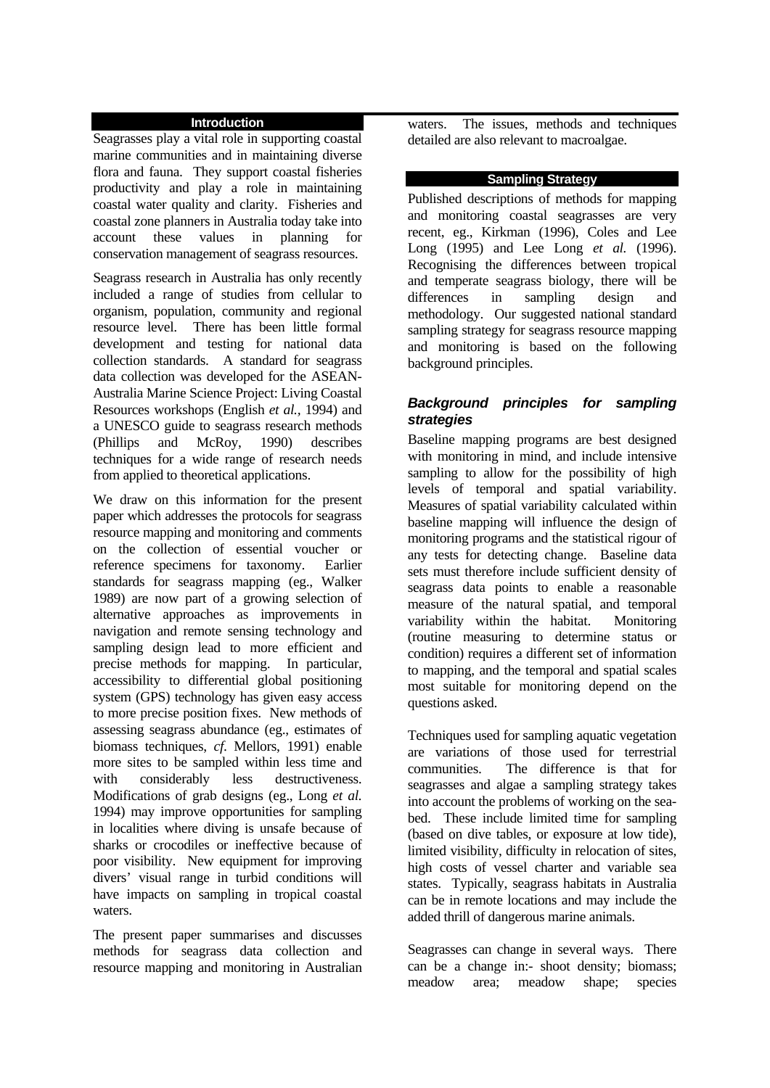### **Introduction**

Seagrasses play a vital role in supporting coastal marine communities and in maintaining diverse flora and fauna. They support coastal fisheries productivity and play a role in maintaining coastal water quality and clarity. Fisheries and coastal zone planners in Australia today take into account these values in planning for conservation management of seagrass resources.

Seagrass research in Australia has only recently included a range of studies from cellular to organism, population, community and regional resource level. There has been little formal development and testing for national data collection standards. A standard for seagrass data collection was developed for the ASEAN-Australia Marine Science Project: Living Coastal Resources workshops (English *et al.,* 1994) and a UNESCO guide to seagrass research methods (Phillips and McRoy, 1990) describes techniques for a wide range of research needs from applied to theoretical applications.

We draw on this information for the present paper which addresses the protocols for seagrass resource mapping and monitoring and comments on the collection of essential voucher or reference specimens for taxonomy. Earlier standards for seagrass mapping (eg., Walker 1989) are now part of a growing selection of alternative approaches as improvements in navigation and remote sensing technology and sampling design lead to more efficient and precise methods for mapping. In particular, accessibility to differential global positioning system (GPS) technology has given easy access to more precise position fixes. New methods of assessing seagrass abundance (eg., estimates of biomass techniques, *cf*. Mellors, 1991) enable more sites to be sampled within less time and with considerably less destructiveness. Modifications of grab designs (eg., Long *et al.* 1994) may improve opportunities for sampling in localities where diving is unsafe because of sharks or crocodiles or ineffective because of poor visibility. New equipment for improving divers' visual range in turbid conditions will have impacts on sampling in tropical coastal waters.

The present paper summarises and discusses methods for seagrass data collection and resource mapping and monitoring in Australian waters. The issues, methods and techniques detailed are also relevant to macroalgae.

### **Sampling Strategy**

Published descriptions of methods for mapping and monitoring coastal seagrasses are very recent, eg., Kirkman (1996), Coles and Lee Long (1995) and Lee Long *et al.* (1996). Recognising the differences between tropical and temperate seagrass biology, there will be differences in sampling design and methodology. Our suggested national standard sampling strategy for seagrass resource mapping and monitoring is based on the following background principles.

### *Background principles for sampling strategies*

Baseline mapping programs are best designed with monitoring in mind, and include intensive sampling to allow for the possibility of high levels of temporal and spatial variability. Measures of spatial variability calculated within baseline mapping will influence the design of monitoring programs and the statistical rigour of any tests for detecting change. Baseline data sets must therefore include sufficient density of seagrass data points to enable a reasonable measure of the natural spatial, and temporal variability within the habitat. Monitoring (routine measuring to determine status or condition) requires a different set of information to mapping, and the temporal and spatial scales most suitable for monitoring depend on the questions asked.

Techniques used for sampling aquatic vegetation are variations of those used for terrestrial communities. The difference is that for seagrasses and algae a sampling strategy takes into account the problems of working on the seabed. These include limited time for sampling (based on dive tables, or exposure at low tide), limited visibility, difficulty in relocation of sites, high costs of vessel charter and variable sea states. Typically, seagrass habitats in Australia can be in remote locations and may include the added thrill of dangerous marine animals.

Seagrasses can change in several ways. There can be a change in:- shoot density; biomass; meadow area; meadow shape; species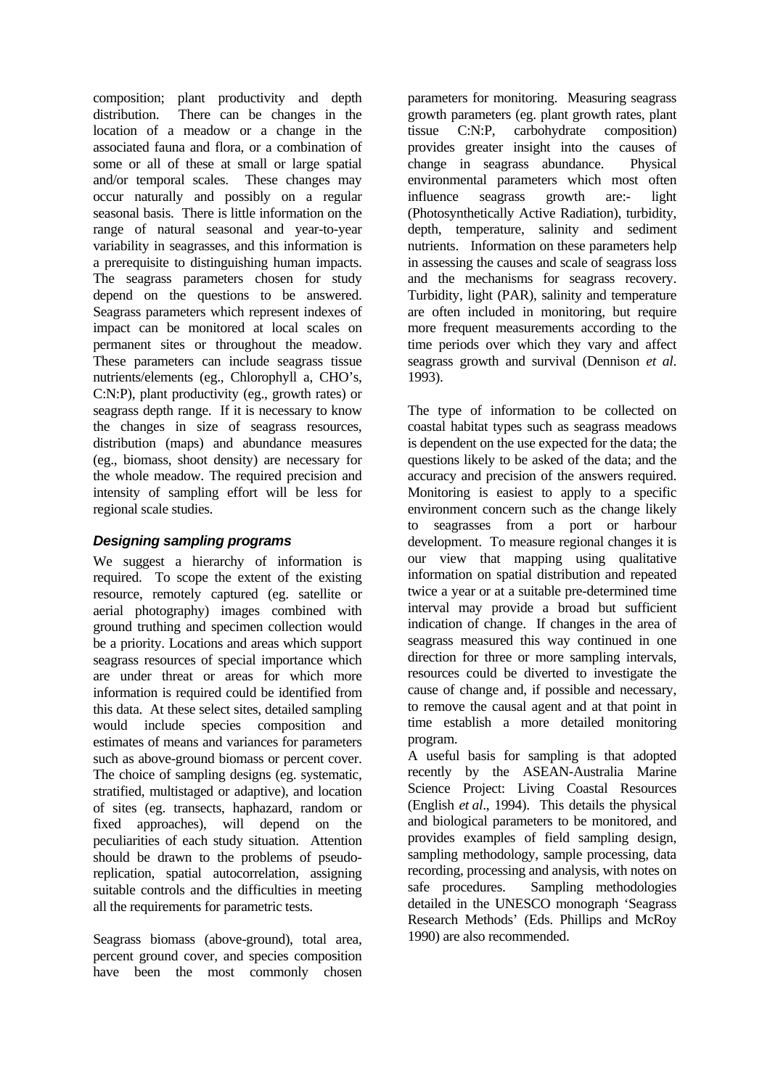composition; plant productivity and depth distribution. There can be changes in the location of a meadow or a change in the associated fauna and flora, or a combination of some or all of these at small or large spatial and/or temporal scales. These changes may occur naturally and possibly on a regular seasonal basis. There is little information on the range of natural seasonal and year-to-year variability in seagrasses, and this information is a prerequisite to distinguishing human impacts. The seagrass parameters chosen for study depend on the questions to be answered. Seagrass parameters which represent indexes of impact can be monitored at local scales on permanent sites or throughout the meadow. These parameters can include seagrass tissue nutrients/elements (eg., Chlorophyll a, CHO's, C:N:P), plant productivity (eg., growth rates) or seagrass depth range. If it is necessary to know the changes in size of seagrass resources, distribution (maps) and abundance measures (eg., biomass, shoot density) are necessary for the whole meadow. The required precision and intensity of sampling effort will be less for regional scale studies.

### *Designing sampling programs*

We suggest a hierarchy of information is required. To scope the extent of the existing resource, remotely captured (eg. satellite or aerial photography) images combined with ground truthing and specimen collection would be a priority. Locations and areas which support seagrass resources of special importance which are under threat or areas for which more information is required could be identified from this data. At these select sites, detailed sampling would include species composition and estimates of means and variances for parameters such as above-ground biomass or percent cover. The choice of sampling designs (eg. systematic, stratified, multistaged or adaptive), and location of sites (eg. transects, haphazard, random or fixed approaches), will depend on the peculiarities of each study situation. Attention should be drawn to the problems of pseudoreplication, spatial autocorrelation, assigning suitable controls and the difficulties in meeting all the requirements for parametric tests.

Seagrass biomass (above-ground), total area, percent ground cover, and species composition have been the most commonly chosen

parameters for monitoring. Measuring seagrass growth parameters (eg. plant growth rates, plant tissue C:N:P, carbohydrate composition) provides greater insight into the causes of change in seagrass abundance. Physical environmental parameters which most often influence seagrass growth are:- light (Photosynthetically Active Radiation), turbidity, depth, temperature, salinity and sediment nutrients. Information on these parameters help in assessing the causes and scale of seagrass loss and the mechanisms for seagrass recovery. Turbidity, light (PAR), salinity and temperature are often included in monitoring, but require more frequent measurements according to the time periods over which they vary and affect seagrass growth and survival (Dennison *et al*. 1993).

The type of information to be collected on coastal habitat types such as seagrass meadows is dependent on the use expected for the data; the questions likely to be asked of the data; and the accuracy and precision of the answers required. Monitoring is easiest to apply to a specific environment concern such as the change likely to seagrasses from a port or harbour development. To measure regional changes it is our view that mapping using qualitative information on spatial distribution and repeated twice a year or at a suitable pre-determined time interval may provide a broad but sufficient indication of change. If changes in the area of seagrass measured this way continued in one direction for three or more sampling intervals, resources could be diverted to investigate the cause of change and, if possible and necessary, to remove the causal agent and at that point in time establish a more detailed monitoring program.

A useful basis for sampling is that adopted recently by the ASEAN-Australia Marine Science Project: Living Coastal Resources (English *et al*., 1994). This details the physical and biological parameters to be monitored, and provides examples of field sampling design, sampling methodology, sample processing, data recording, processing and analysis, with notes on safe procedures. Sampling methodologies detailed in the UNESCO monograph 'Seagrass Research Methods' (Eds. Phillips and McRoy 1990) are also recommended.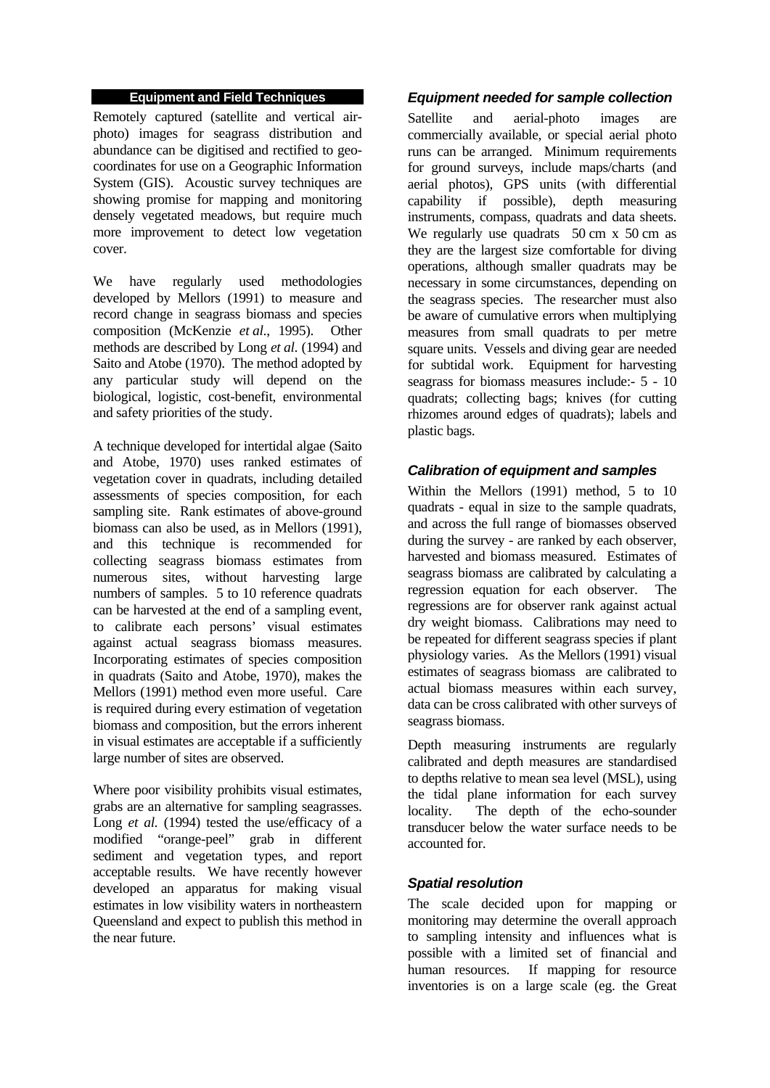### **Equipment and Field Techniques**

Remotely captured (satellite and vertical airphoto) images for seagrass distribution and abundance can be digitised and rectified to geocoordinates for use on a Geographic Information System (GIS). Acoustic survey techniques are showing promise for mapping and monitoring densely vegetated meadows, but require much more improvement to detect low vegetation cover.

We have regularly used methodologies developed by Mellors (1991) to measure and record change in seagrass biomass and species composition (McKenzie *et al*., 1995). Other methods are described by Long *et al*. (1994) and Saito and Atobe (1970). The method adopted by any particular study will depend on the biological, logistic, cost-benefit, environmental and safety priorities of the study.

A technique developed for intertidal algae (Saito and Atobe, 1970) uses ranked estimates of vegetation cover in quadrats, including detailed assessments of species composition, for each sampling site. Rank estimates of above-ground biomass can also be used, as in Mellors (1991), and this technique is recommended for collecting seagrass biomass estimates from numerous sites, without harvesting large numbers of samples. 5 to 10 reference quadrats can be harvested at the end of a sampling event, to calibrate each persons' visual estimates against actual seagrass biomass measures. Incorporating estimates of species composition in quadrats (Saito and Atobe, 1970), makes the Mellors (1991) method even more useful. Care is required during every estimation of vegetation biomass and composition, but the errors inherent in visual estimates are acceptable if a sufficiently large number of sites are observed.

Where poor visibility prohibits visual estimates. grabs are an alternative for sampling seagrasses. Long *et al.* (1994) tested the use/efficacy of a modified "orange-peel" grab in different sediment and vegetation types, and report acceptable results. We have recently however developed an apparatus for making visual estimates in low visibility waters in northeastern Queensland and expect to publish this method in the near future.

### *Equipment needed for sample collection*

Satellite and aerial-photo images are commercially available, or special aerial photo runs can be arranged. Minimum requirements for ground surveys, include maps/charts (and aerial photos), GPS units (with differential capability if possible), depth measuring instruments, compass, quadrats and data sheets. We regularly use quadrats 50 cm x 50 cm as they are the largest size comfortable for diving operations, although smaller quadrats may be necessary in some circumstances, depending on the seagrass species. The researcher must also be aware of cumulative errors when multiplying measures from small quadrats to per metre square units. Vessels and diving gear are needed for subtidal work. Equipment for harvesting seagrass for biomass measures include:- 5 - 10 quadrats; collecting bags; knives (for cutting rhizomes around edges of quadrats); labels and plastic bags.

### *Calibration of equipment and samples*

Within the Mellors (1991) method, 5 to 10 quadrats - equal in size to the sample quadrats, and across the full range of biomasses observed during the survey - are ranked by each observer, harvested and biomass measured. Estimates of seagrass biomass are calibrated by calculating a regression equation for each observer. The regressions are for observer rank against actual dry weight biomass. Calibrations may need to be repeated for different seagrass species if plant physiology varies. As the Mellors (1991) visual estimates of seagrass biomass are calibrated to actual biomass measures within each survey, data can be cross calibrated with other surveys of seagrass biomass.

Depth measuring instruments are regularly calibrated and depth measures are standardised to depths relative to mean sea level (MSL), using the tidal plane information for each survey locality. The depth of the echo-sounder transducer below the water surface needs to be accounted for.

### *Spatial resolution*

The scale decided upon for mapping or monitoring may determine the overall approach to sampling intensity and influences what is possible with a limited set of financial and human resources. If mapping for resource inventories is on a large scale (eg. the Great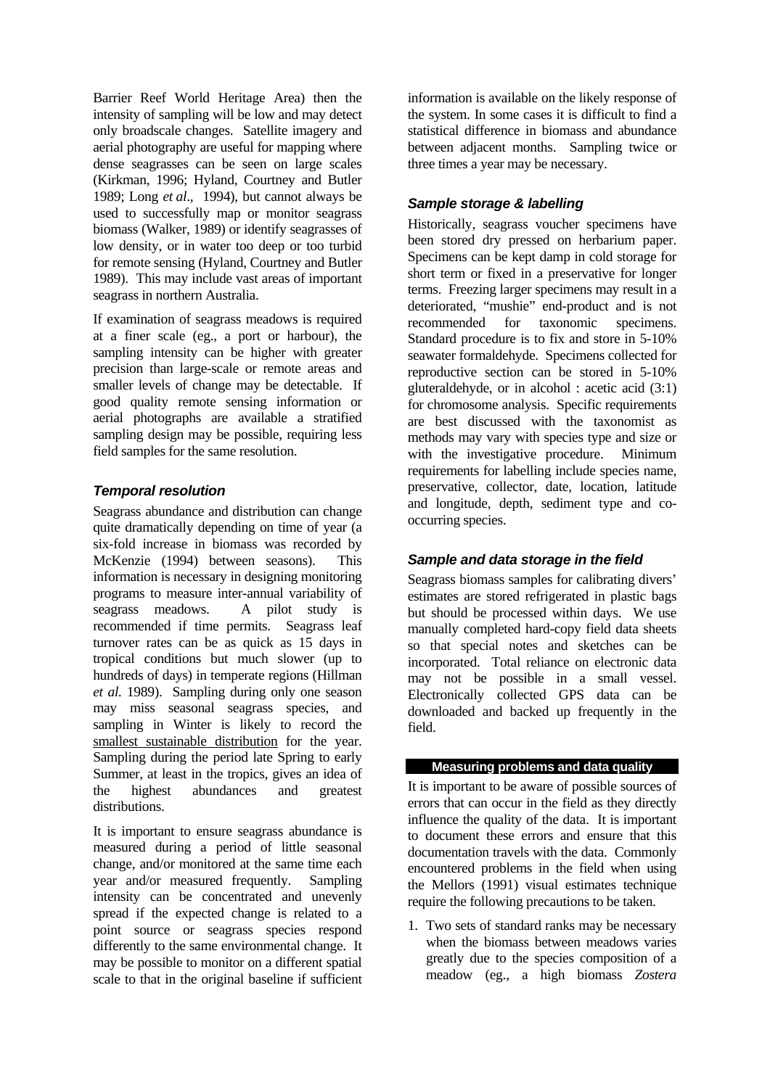Barrier Reef World Heritage Area) then the intensity of sampling will be low and may detect only broadscale changes. Satellite imagery and aerial photography are useful for mapping where dense seagrasses can be seen on large scales (Kirkman, 1996; Hyland, Courtney and Butler 1989; Long *et al*., 1994), but cannot always be used to successfully map or monitor seagrass biomass (Walker, 1989) or identify seagrasses of low density, or in water too deep or too turbid for remote sensing (Hyland, Courtney and Butler 1989). This may include vast areas of important seagrass in northern Australia.

If examination of seagrass meadows is required at a finer scale (eg., a port or harbour), the sampling intensity can be higher with greater precision than large-scale or remote areas and smaller levels of change may be detectable. If good quality remote sensing information or aerial photographs are available a stratified sampling design may be possible, requiring less field samples for the same resolution.

### *Temporal resolution*

Seagrass abundance and distribution can change quite dramatically depending on time of year (a six-fold increase in biomass was recorded by McKenzie (1994) between seasons). This information is necessary in designing monitoring programs to measure inter-annual variability of seagrass meadows. A pilot study is recommended if time permits. Seagrass leaf turnover rates can be as quick as 15 days in tropical conditions but much slower (up to hundreds of days) in temperate regions (Hillman *et al.* 1989). Sampling during only one season may miss seasonal seagrass species, and sampling in Winter is likely to record the smallest sustainable distribution for the year. Sampling during the period late Spring to early Summer, at least in the tropics, gives an idea of the highest abundances and greatest distributions.

It is important to ensure seagrass abundance is measured during a period of little seasonal change, and/or monitored at the same time each year and/or measured frequently. Sampling intensity can be concentrated and unevenly spread if the expected change is related to a point source or seagrass species respond differently to the same environmental change. It may be possible to monitor on a different spatial scale to that in the original baseline if sufficient information is available on the likely response of the system. In some cases it is difficult to find a statistical difference in biomass and abundance between adjacent months. Sampling twice or three times a year may be necessary.

### *Sample storage & labelling*

Historically, seagrass voucher specimens have been stored dry pressed on herbarium paper. Specimens can be kept damp in cold storage for short term or fixed in a preservative for longer terms. Freezing larger specimens may result in a deteriorated, "mushie" end-product and is not recommended for taxonomic specimens. Standard procedure is to fix and store in 5-10% seawater formaldehyde. Specimens collected for reproductive section can be stored in 5-10% gluteraldehyde, or in alcohol : acetic acid (3:1) for chromosome analysis. Specific requirements are best discussed with the taxonomist as methods may vary with species type and size or with the investigative procedure. Minimum requirements for labelling include species name, preservative, collector, date, location, latitude and longitude, depth, sediment type and cooccurring species.

### *Sample and data storage in the field*

Seagrass biomass samples for calibrating divers' estimates are stored refrigerated in plastic bags but should be processed within days. We use manually completed hard-copy field data sheets so that special notes and sketches can be incorporated. Total reliance on electronic data may not be possible in a small vessel. Electronically collected GPS data can be downloaded and backed up frequently in the field.

### **Measuring problems and data quality**

It is important to be aware of possible sources of errors that can occur in the field as they directly influence the quality of the data. It is important to document these errors and ensure that this documentation travels with the data. Commonly encountered problems in the field when using the Mellors (1991) visual estimates technique require the following precautions to be taken.

1. Two sets of standard ranks may be necessary when the biomass between meadows varies greatly due to the species composition of a meadow (eg., a high biomass *Zostera*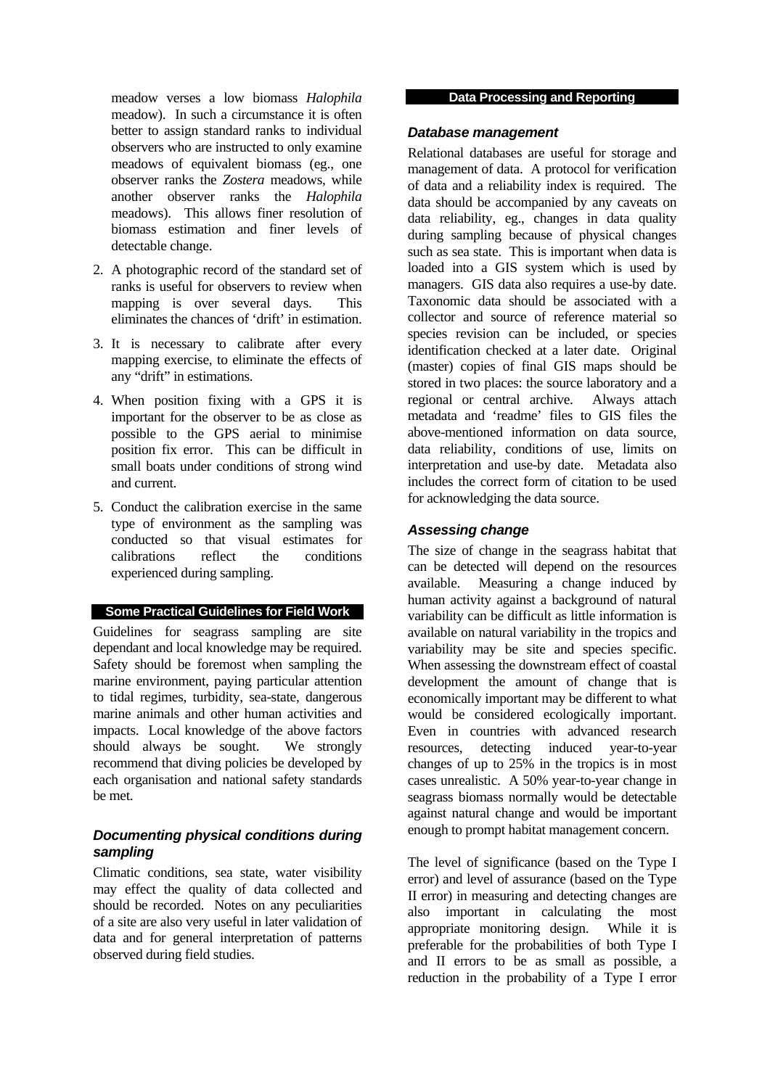meadow verses a low biomass *Halophila* meadow). In such a circumstance it is often better to assign standard ranks to individual observers who are instructed to only examine meadows of equivalent biomass (eg., one observer ranks the *Zostera* meadows, while another observer ranks the *Halophila* meadows). This allows finer resolution of biomass estimation and finer levels of detectable change.

- 2. A photographic record of the standard set of ranks is useful for observers to review when mapping is over several days. This eliminates the chances of 'drift' in estimation.
- 3. It is necessary to calibrate after every mapping exercise, to eliminate the effects of any "drift" in estimations.
- 4. When position fixing with a GPS it is important for the observer to be as close as possible to the GPS aerial to minimise position fix error. This can be difficult in small boats under conditions of strong wind and current.
- 5. Conduct the calibration exercise in the same type of environment as the sampling was conducted so that visual estimates for calibrations reflect the conditions experienced during sampling.

### **Some Practical Guidelines for Field Work**

Guidelines for seagrass sampling are site dependant and local knowledge may be required. Safety should be foremost when sampling the marine environment, paying particular attention to tidal regimes, turbidity, sea-state, dangerous marine animals and other human activities and impacts. Local knowledge of the above factors should always be sought. We strongly recommend that diving policies be developed by each organisation and national safety standards be met.

### *Documenting physical conditions during sampling*

Climatic conditions, sea state, water visibility may effect the quality of data collected and should be recorded. Notes on any peculiarities of a site are also very useful in later validation of data and for general interpretation of patterns observed during field studies.

### **Data Processing and Reporting**

### *Database management*

Relational databases are useful for storage and management of data. A protocol for verification of data and a reliability index is required. The data should be accompanied by any caveats on data reliability, eg., changes in data quality during sampling because of physical changes such as sea state. This is important when data is loaded into a GIS system which is used by managers. GIS data also requires a use-by date. Taxonomic data should be associated with a collector and source of reference material so species revision can be included, or species identification checked at a later date. Original (master) copies of final GIS maps should be stored in two places: the source laboratory and a regional or central archive. Always attach metadata and 'readme' files to GIS files the above-mentioned information on data source, data reliability, conditions of use, limits on interpretation and use-by date. Metadata also includes the correct form of citation to be used for acknowledging the data source.

### *Assessing change*

The size of change in the seagrass habitat that can be detected will depend on the resources available. Measuring a change induced by human activity against a background of natural variability can be difficult as little information is available on natural variability in the tropics and variability may be site and species specific. When assessing the downstream effect of coastal development the amount of change that is economically important may be different to what would be considered ecologically important. Even in countries with advanced research resources, detecting induced year-to-year changes of up to 25% in the tropics is in most cases unrealistic. A 50% year-to-year change in seagrass biomass normally would be detectable against natural change and would be important enough to prompt habitat management concern.

The level of significance (based on the Type I error) and level of assurance (based on the Type II error) in measuring and detecting changes are also important in calculating the most<br>appropriate monitoring design. While it is appropriate monitoring design. preferable for the probabilities of both Type I and II errors to be as small as possible, a reduction in the probability of a Type I error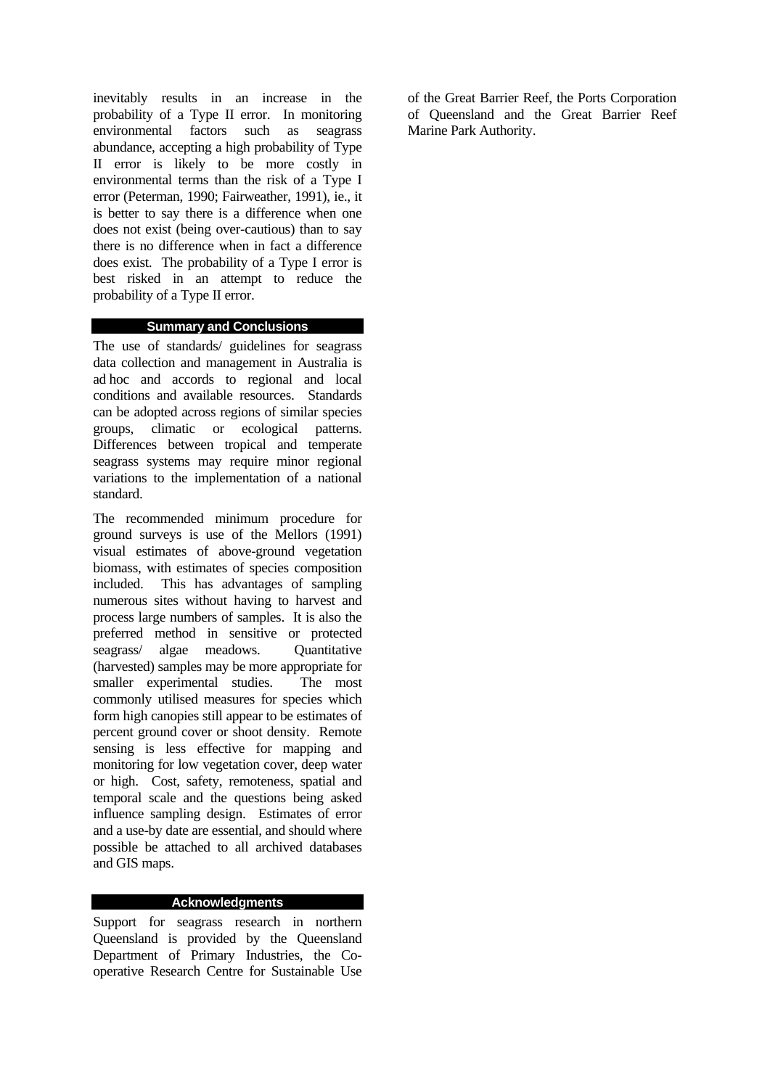inevitably results in an increase in the probability of a Type II error. In monitoring environmental factors such as seagrass abundance, accepting a high probability of Type II error is likely to be more costly in environmental terms than the risk of a Type I error (Peterman, 1990; Fairweather, 1991), ie., it is better to say there is a difference when one does not exist (being over-cautious) than to say there is no difference when in fact a difference does exist. The probability of a Type I error is best risked in an attempt to reduce the probability of a Type II error.

### **Summary and Conclusions**

The use of standards/ guidelines for seagrass data collection and management in Australia is ad hoc and accords to regional and local conditions and available resources. Standards can be adopted across regions of similar species groups, climatic or ecological patterns. Differences between tropical and temperate seagrass systems may require minor regional variations to the implementation of a national standard.

The recommended minimum procedure for ground surveys is use of the Mellors (1991) visual estimates of above-ground vegetation biomass, with estimates of species composition included. This has advantages of sampling numerous sites without having to harvest and process large numbers of samples. It is also the preferred method in sensitive or protected seagrass/ algae meadows. Quantitative (harvested) samples may be more appropriate for smaller experimental studies. The most commonly utilised measures for species which form high canopies still appear to be estimates of percent ground cover or shoot density. Remote sensing is less effective for mapping and monitoring for low vegetation cover, deep water or high. Cost, safety, remoteness, spatial and temporal scale and the questions being asked influence sampling design. Estimates of error and a use-by date are essential, and should where possible be attached to all archived databases and GIS maps.

#### **Acknowledgments**

Support for seagrass research in northern Queensland is provided by the Queensland Department of Primary Industries, the Cooperative Research Centre for Sustainable Use

of the Great Barrier Reef, the Ports Corporation of Queensland and the Great Barrier Reef Marine Park Authority.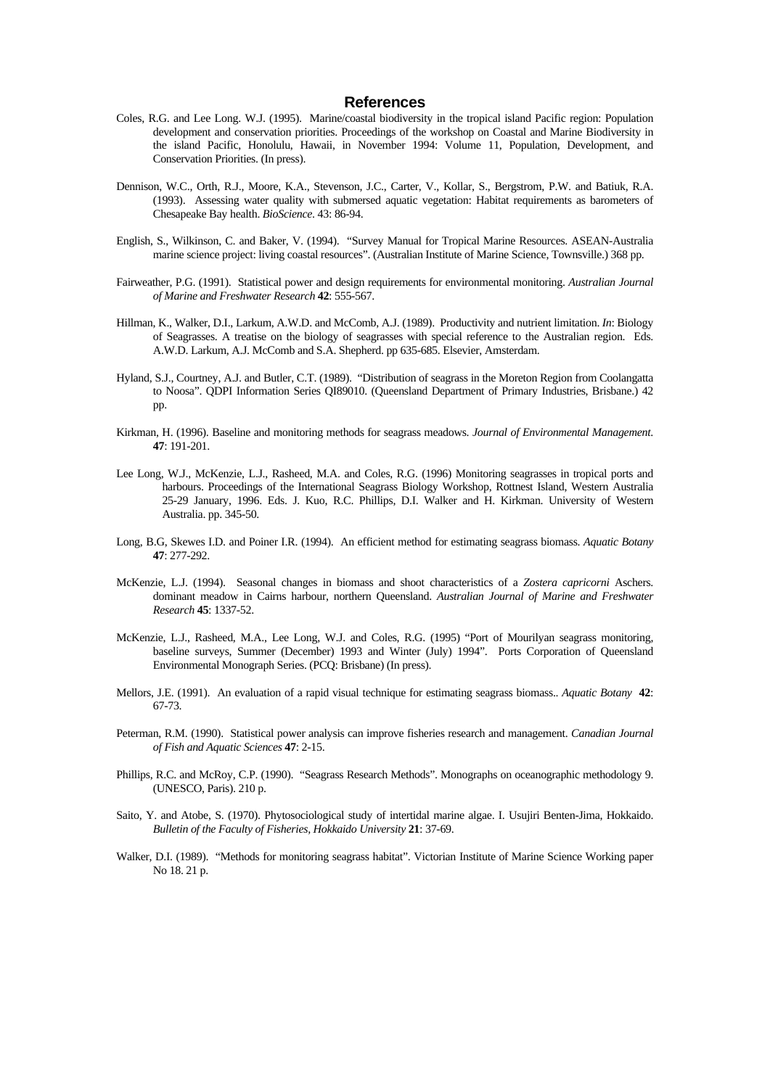#### **References**

- Coles, R.G. and Lee Long. W.J. (1995). Marine/coastal biodiversity in the tropical island Pacific region: Population development and conservation priorities. Proceedings of the workshop on Coastal and Marine Biodiversity in the island Pacific, Honolulu, Hawaii, in November 1994: Volume 11, Population, Development, and Conservation Priorities. (In press).
- Dennison, W.C., Orth, R.J., Moore, K.A., Stevenson, J.C., Carter, V., Kollar, S., Bergstrom, P.W. and Batiuk, R.A. (1993). Assessing water quality with submersed aquatic vegetation: Habitat requirements as barometers of Chesapeake Bay health. *BioScience*. 43: 86-94.
- English, S., Wilkinson, C. and Baker, V. (1994). "Survey Manual for Tropical Marine Resources. ASEAN-Australia marine science project: living coastal resources". (Australian Institute of Marine Science, Townsville.) 368 pp.
- Fairweather, P.G. (1991). Statistical power and design requirements for environmental monitoring. *Australian Journal of Marine and Freshwater Research* **42**: 555-567.
- Hillman, K., Walker, D.I., Larkum, A.W.D. and McComb, A.J. (1989). Productivity and nutrient limitation. *In*: Biology of Seagrasses. A treatise on the biology of seagrasses with special reference to the Australian region. Eds. A.W.D. Larkum, A.J. McComb and S.A. Shepherd. pp 635-685. Elsevier, Amsterdam.
- Hyland, S.J., Courtney, A.J. and Butler, C.T. (1989). "Distribution of seagrass in the Moreton Region from Coolangatta to Noosa". QDPI Information Series QI89010. (Queensland Department of Primary Industries, Brisbane.) 42 pp.
- Kirkman, H. (1996). Baseline and monitoring methods for seagrass meadows. *Journal of Environmental Management*. **47**: 191-201.
- Lee Long, W.J., McKenzie, L.J., Rasheed, M.A. and Coles, R.G. (1996) Monitoring seagrasses in tropical ports and harbours. Proceedings of the International Seagrass Biology Workshop, Rottnest Island, Western Australia 25-29 January, 1996. Eds. J. Kuo, R.C. Phillips, D.I. Walker and H. Kirkman. University of Western Australia. pp. 345-50.
- Long, B.G, Skewes I.D. and Poiner I.R. (1994). An efficient method for estimating seagrass biomass. *Aquatic Botany* **47**: 277-292.
- McKenzie, L.J. (1994). Seasonal changes in biomass and shoot characteristics of a *Zostera capricorni* Aschers. dominant meadow in Cairns harbour, northern Queensland. *Australian Journal of Marine and Freshwater Research* **45**: 1337-52.
- McKenzie, L.J., Rasheed, M.A., Lee Long, W.J. and Coles, R.G. (1995) "Port of Mourilyan seagrass monitoring, baseline surveys, Summer (December) 1993 and Winter (July) 1994". Ports Corporation of Queensland Environmental Monograph Series. (PCQ: Brisbane) (In press).
- Mellors, J.E. (1991). An evaluation of a rapid visual technique for estimating seagrass biomass.. *Aquatic Botany* **42**: 67-73.
- Peterman, R.M. (1990). Statistical power analysis can improve fisheries research and management. *Canadian Journal of Fish and Aquatic Sciences* **47**: 2-15.
- Phillips, R.C. and McRoy, C.P. (1990). "Seagrass Research Methods". Monographs on oceanographic methodology 9. (UNESCO, Paris). 210 p.
- Saito, Y. and Atobe, S. (1970). Phytosociological study of intertidal marine algae. I. Usujiri Benten-Jima, Hokkaido. *Bulletin of the Faculty of Fisheries, Hokkaido University* **21**: 37-69.
- Walker, D.I. (1989). "Methods for monitoring seagrass habitat". Victorian Institute of Marine Science Working paper No 18. 21 p.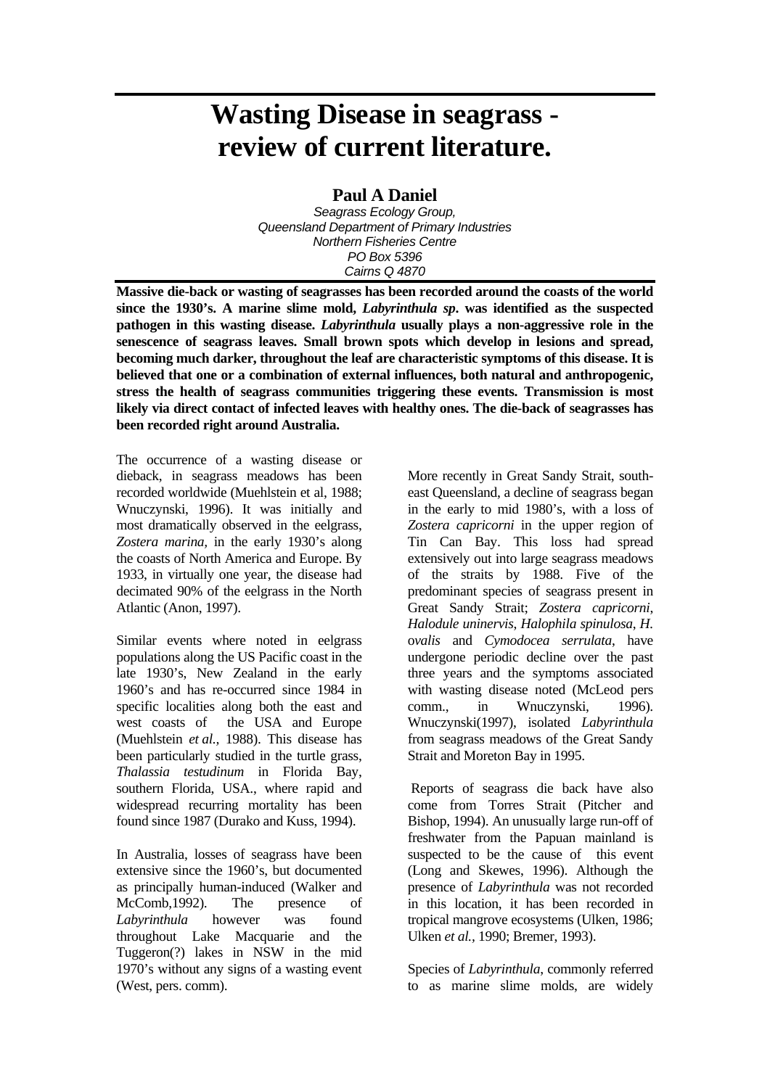## **Wasting Disease in seagrass review of current literature.**

### **Paul A Daniel**

*Seagrass Ecology Group, Queensland Department of Primary Industries Northern Fisheries Centre PO Box 5396 Cairns Q 4870* 

**Massive die-back or wasting of seagrasses has been recorded around the coasts of the world since the 1930's. A marine slime mold,** *Labyrinthula sp***. was identified as the suspected pathogen in this wasting disease.** *Labyrinthula* **usually plays a non-aggressive role in the senescence of seagrass leaves. Small brown spots which develop in lesions and spread, becoming much darker, throughout the leaf are characteristic symptoms of this disease. It is believed that one or a combination of external influences, both natural and anthropogenic, stress the health of seagrass communities triggering these events. Transmission is most likely via direct contact of infected leaves with healthy ones. The die-back of seagrasses has been recorded right around Australia.** 

The occurrence of a wasting disease or dieback, in seagrass meadows has been recorded worldwide (Muehlstein et al, 1988; Wnuczynski, 1996). It was initially and most dramatically observed in the eelgrass, *Zostera marina,* in the early 1930's along the coasts of North America and Europe. By 1933, in virtually one year, the disease had decimated 90% of the eelgrass in the North Atlantic (Anon, 1997).

Similar events where noted in eelgrass populations along the US Pacific coast in the late 1930's, New Zealand in the early 1960's and has re-occurred since 1984 in specific localities along both the east and west coasts of the USA and Europe (Muehlstein *et al.,* 1988). This disease has been particularly studied in the turtle grass, *Thalassia testudinum* in Florida Bay, southern Florida, USA., where rapid and widespread recurring mortality has been found since 1987 (Durako and Kuss, 1994).

In Australia, losses of seagrass have been extensive since the 1960's, but documented as principally human-induced (Walker and McComb,1992). The presence of *Labyrinthula* however was found throughout Lake Macquarie and the Tuggeron(?) lakes in NSW in the mid 1970's without any signs of a wasting event (West, pers. comm).

More recently in Great Sandy Strait, southeast Queensland, a decline of seagrass began in the early to mid 1980's, with a loss of *Zostera capricorni* in the upper region of Tin Can Bay. This loss had spread extensively out into large seagrass meadows of the straits by 1988. Five of the predominant species of seagrass present in Great Sandy Strait; *Zostera capricorni*, *Halodule uninervis*, *Halophila spinulosa*, *H.*  o*valis* and *Cymodocea serrulata*, have undergone periodic decline over the past three years and the symptoms associated with wasting disease noted (McLeod pers comm., in Wnuczynski, 1996). Wnuczynski(1997), isolated *Labyrinthula* from seagrass meadows of the Great Sandy Strait and Moreton Bay in 1995.

 Reports of seagrass die back have also come from Torres Strait (Pitcher and Bishop, 1994). An unusually large run-off of freshwater from the Papuan mainland is suspected to be the cause of this event (Long and Skewes, 1996). Although the presence of *Labyrinthula* was not recorded in this location, it has been recorded in tropical mangrove ecosystems (Ulken, 1986; Ulken *et al.,* 1990; Bremer, 1993).

Species of *Labyrinthula*, commonly referred to as marine slime molds, are widely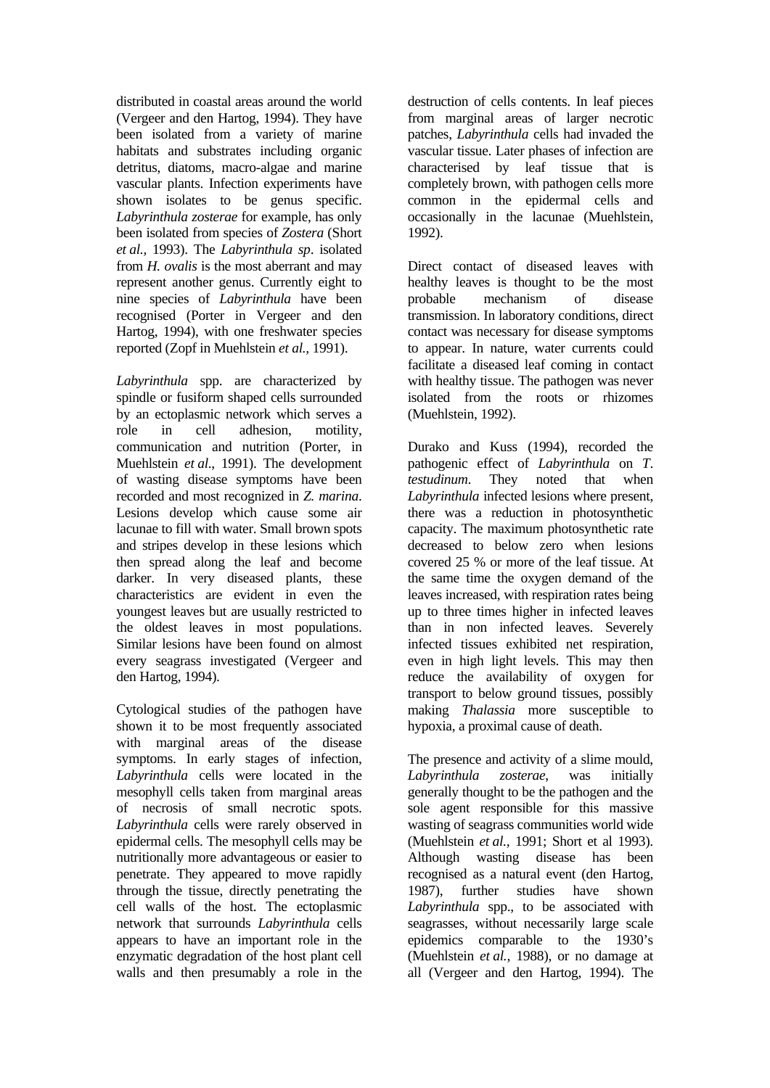distributed in coastal areas around the world (Vergeer and den Hartog, 1994). They have been isolated from a variety of marine habitats and substrates including organic detritus, diatoms, macro-algae and marine vascular plants. Infection experiments have shown isolates to be genus specific. *Labyrinthula zosterae* for example, has only been isolated from species of *Zostera* (Short *et al.,* 1993). The *Labyrinthula sp*. isolated from *H. ovalis* is the most aberrant and may represent another genus. Currently eight to nine species of *Labyrinthula* have been recognised (Porter in Vergeer and den Hartog, 1994), with one freshwater species reported (Zopf in Muehlstein *et al.,* 1991).

*Labyrinthula* spp. are characterized by spindle or fusiform shaped cells surrounded by an ectoplasmic network which serves a role in cell adhesion, motility, communication and nutrition (Porter, in Muehlstein *et al*., 1991). The development of wasting disease symptoms have been recorded and most recognized in *Z. marina*. Lesions develop which cause some air lacunae to fill with water. Small brown spots and stripes develop in these lesions which then spread along the leaf and become darker. In very diseased plants, these characteristics are evident in even the youngest leaves but are usually restricted to the oldest leaves in most populations. Similar lesions have been found on almost every seagrass investigated (Vergeer and den Hartog, 1994).

Cytological studies of the pathogen have shown it to be most frequently associated with marginal areas of the disease symptoms. In early stages of infection, *Labyrinthula* cells were located in the mesophyll cells taken from marginal areas of necrosis of small necrotic spots. *Labyrinthula* cells were rarely observed in epidermal cells. The mesophyll cells may be nutritionally more advantageous or easier to penetrate. They appeared to move rapidly through the tissue, directly penetrating the cell walls of the host. The ectoplasmic network that surrounds *Labyrinthula* cells appears to have an important role in the enzymatic degradation of the host plant cell walls and then presumably a role in the destruction of cells contents. In leaf pieces from marginal areas of larger necrotic patches, *Labyrinthula* cells had invaded the vascular tissue. Later phases of infection are characterised by leaf tissue that is completely brown, with pathogen cells more common in the epidermal cells and occasionally in the lacunae (Muehlstein, 1992).

Direct contact of diseased leaves with healthy leaves is thought to be the most probable mechanism of disease transmission. In laboratory conditions, direct contact was necessary for disease symptoms to appear. In nature, water currents could facilitate a diseased leaf coming in contact with healthy tissue. The pathogen was never isolated from the roots or rhizomes (Muehlstein, 1992).

Durako and Kuss (1994), recorded the pathogenic effect of *Labyrinthula* on *T*. *testudinum*. They noted that when *Labyrinthula* infected lesions where present, there was a reduction in photosynthetic capacity. The maximum photosynthetic rate decreased to below zero when lesions covered 25 % or more of the leaf tissue. At the same time the oxygen demand of the leaves increased, with respiration rates being up to three times higher in infected leaves than in non infected leaves. Severely infected tissues exhibited net respiration, even in high light levels. This may then reduce the availability of oxygen for transport to below ground tissues, possibly making *Thalassia* more susceptible to hypoxia, a proximal cause of death.

The presence and activity of a slime mould, *Labyrinthula zosterae*, was initially generally thought to be the pathogen and the sole agent responsible for this massive wasting of seagrass communities world wide (Muehlstein *et al.,* 1991; Short et al 1993). Although wasting disease has been recognised as a natural event (den Hartog, 1987), further studies have shown *Labyrinthula* spp., to be associated with seagrasses, without necessarily large scale epidemics comparable to the 1930's (Muehlstein *et al.,* 1988), or no damage at all (Vergeer and den Hartog, 1994). The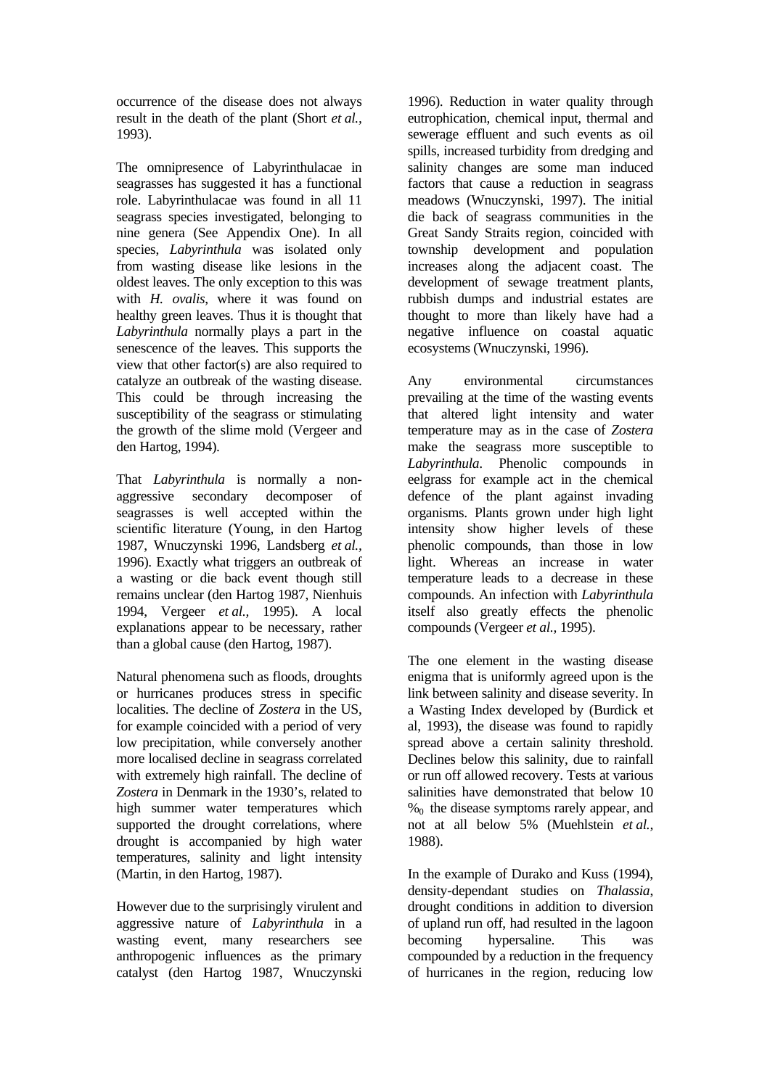occurrence of the disease does not always result in the death of the plant (Short *et al.,* 1993).

The omnipresence of Labyrinthulacae in seagrasses has suggested it has a functional role. Labyrinthulacae was found in all 11 seagrass species investigated, belonging to nine genera (See Appendix One). In all species, *Labyrinthula* was isolated only from wasting disease like lesions in the oldest leaves. The only exception to this was with *H. ovalis*, where it was found on healthy green leaves. Thus it is thought that *Labyrinthula* normally plays a part in the senescence of the leaves. This supports the view that other factor(s) are also required to catalyze an outbreak of the wasting disease. This could be through increasing the susceptibility of the seagrass or stimulating the growth of the slime mold (Vergeer and den Hartog, 1994).

That *Labyrinthula* is normally a nonaggressive secondary decomposer of seagrasses is well accepted within the scientific literature (Young, in den Hartog 1987, Wnuczynski 1996, Landsberg *et al.,* 1996). Exactly what triggers an outbreak of a wasting or die back event though still remains unclear (den Hartog 1987, Nienhuis 1994, Vergeer *et al.,* 1995). A local explanations appear to be necessary, rather than a global cause (den Hartog, 1987).

Natural phenomena such as floods, droughts or hurricanes produces stress in specific localities. The decline of *Zostera* in the US, for example coincided with a period of very low precipitation, while conversely another more localised decline in seagrass correlated with extremely high rainfall. The decline of *Zostera* in Denmark in the 1930's, related to high summer water temperatures which supported the drought correlations, where drought is accompanied by high water temperatures, salinity and light intensity (Martin, in den Hartog, 1987).

However due to the surprisingly virulent and aggressive nature of *Labyrinthula* in a wasting event, many researchers see anthropogenic influences as the primary catalyst (den Hartog 1987, Wnuczynski 1996). Reduction in water quality through eutrophication, chemical input, thermal and sewerage effluent and such events as oil spills, increased turbidity from dredging and salinity changes are some man induced factors that cause a reduction in seagrass meadows (Wnuczynski, 1997). The initial die back of seagrass communities in the Great Sandy Straits region, coincided with township development and population increases along the adjacent coast. The development of sewage treatment plants, rubbish dumps and industrial estates are thought to more than likely have had a negative influence on coastal aquatic ecosystems (Wnuczynski, 1996).

Any environmental circumstances prevailing at the time of the wasting events that altered light intensity and water temperature may as in the case of *Zostera* make the seagrass more susceptible to *Labyrinthula*. Phenolic compounds in eelgrass for example act in the chemical defence of the plant against invading organisms. Plants grown under high light intensity show higher levels of these phenolic compounds, than those in low light. Whereas an increase in water temperature leads to a decrease in these compounds. An infection with *Labyrinthula* itself also greatly effects the phenolic compounds (Vergeer *et al.,* 1995).

The one element in the wasting disease enigma that is uniformly agreed upon is the link between salinity and disease severity. In a Wasting Index developed by (Burdick et al, 1993), the disease was found to rapidly spread above a certain salinity threshold. Declines below this salinity, due to rainfall or run off allowed recovery. Tests at various salinities have demonstrated that below 10  $\%$ <sup>0</sup> the disease symptoms rarely appear, and not at all below 5% (Muehlstein *et al.,* 1988).

In the example of Durako and Kuss (1994), density-dependant studies on *Thalassia*, drought conditions in addition to diversion of upland run off, had resulted in the lagoon becoming hypersaline. This was compounded by a reduction in the frequency of hurricanes in the region, reducing low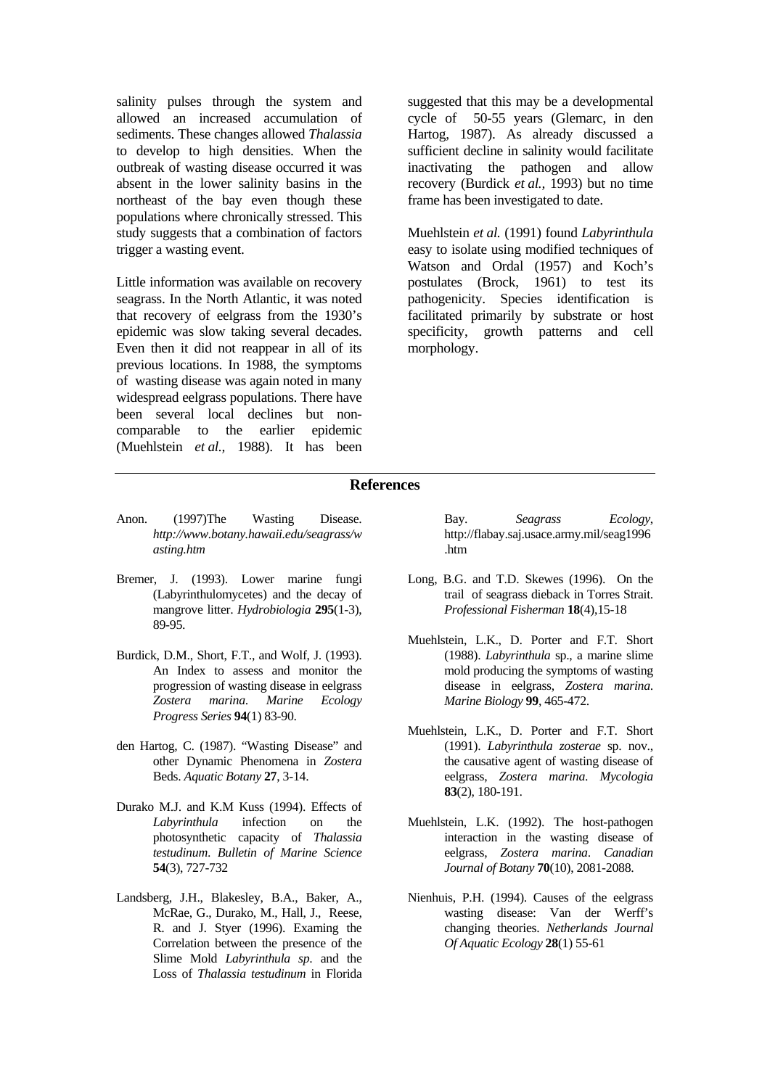salinity pulses through the system and allowed an increased accumulation of sediments. These changes allowed *Thalassia* to develop to high densities. When the outbreak of wasting disease occurred it was absent in the lower salinity basins in the northeast of the bay even though these populations where chronically stressed. This study suggests that a combination of factors trigger a wasting event.

Little information was available on recovery seagrass. In the North Atlantic, it was noted that recovery of eelgrass from the 1930's epidemic was slow taking several decades. Even then it did not reappear in all of its previous locations. In 1988, the symptoms of wasting disease was again noted in many widespread eelgrass populations. There have been several local declines but noncomparable to the earlier epidemic (Muehlstein *et al.,* 1988). It has been suggested that this may be a developmental cycle of 50-55 years (Glemarc, in den Hartog, 1987). As already discussed a sufficient decline in salinity would facilitate inactivating the pathogen and allow recovery (Burdick *et al.,* 1993) but no time frame has been investigated to date.

Muehlstein *et al.* (1991) found *Labyrinthula* easy to isolate using modified techniques of Watson and Ordal (1957) and Koch's postulates (Brock, 1961) to test its pathogenicity. Species identification is facilitated primarily by substrate or host specificity, growth patterns and cell morphology.

#### **References**

- Anon. (1997)The Wasting Disease. *http://www.botany.hawaii.edu/seagrass/w asting.htm*
- Bremer, J. (1993). Lower marine fungi (Labyrinthulomycetes) and the decay of mangrove litter. *Hydrobiologia* **295**(1-3), 89-95.
- Burdick, D.M., Short, F.T., and Wolf, J. (1993). An Index to assess and monitor the progression of wasting disease in eelgrass *Zostera marina*. *Marine Ecology Progress Series* **94**(1) 83-90.
- den Hartog, C. (1987). "Wasting Disease" and other Dynamic Phenomena in *Zostera* Beds. *Aquatic Botany* **27**, 3-14.
- Durako M.J. and K.M Kuss (1994). Effects of *Labyrinthula* infection on the photosynthetic capacity of *Thalassia testudinum*. *Bulletin of Marine Science* **54**(3), 727-732
- Landsberg, J.H., Blakesley, B.A., Baker, A., McRae, G., Durako, M., Hall, J., Reese, R. and J. Styer (1996). Examing the Correlation between the presence of the Slime Mold *Labyrinthula sp*. and the Loss of *Thalassia testudinum* in Florida

Bay. *Seagrass Ecology*, http://flabay.saj.usace.army.mil/seag1996 .htm

- Long, B.G. and T.D. Skewes (1996). On the trail of seagrass dieback in Torres Strait. *Professional Fisherman* **18**(4),15-18
- Muehlstein, L.K., D. Porter and F.T. Short (1988). *Labyrinthula* sp., a marine slime mold producing the symptoms of wasting disease in eelgrass, *Zostera marina*. *Marine Biology* **99**, 465-472.
- Muehlstein, L.K., D. Porter and F.T. Short (1991). *Labyrinthula zosterae* sp. nov., the causative agent of wasting disease of eelgrass, *Zostera marina*. *Mycologia* **83**(2), 180-191.
- Muehlstein, L.K. (1992). The host-pathogen interaction in the wasting disease of eelgrass, *Zostera marina*. *Canadian Journal of Botany* **70**(10), 2081-2088.
- Nienhuis, P.H. (1994). Causes of the eelgrass wasting disease: Van der Werff's changing theories. *Netherlands Journal Of Aquatic Ecology* **28**(1) 55-61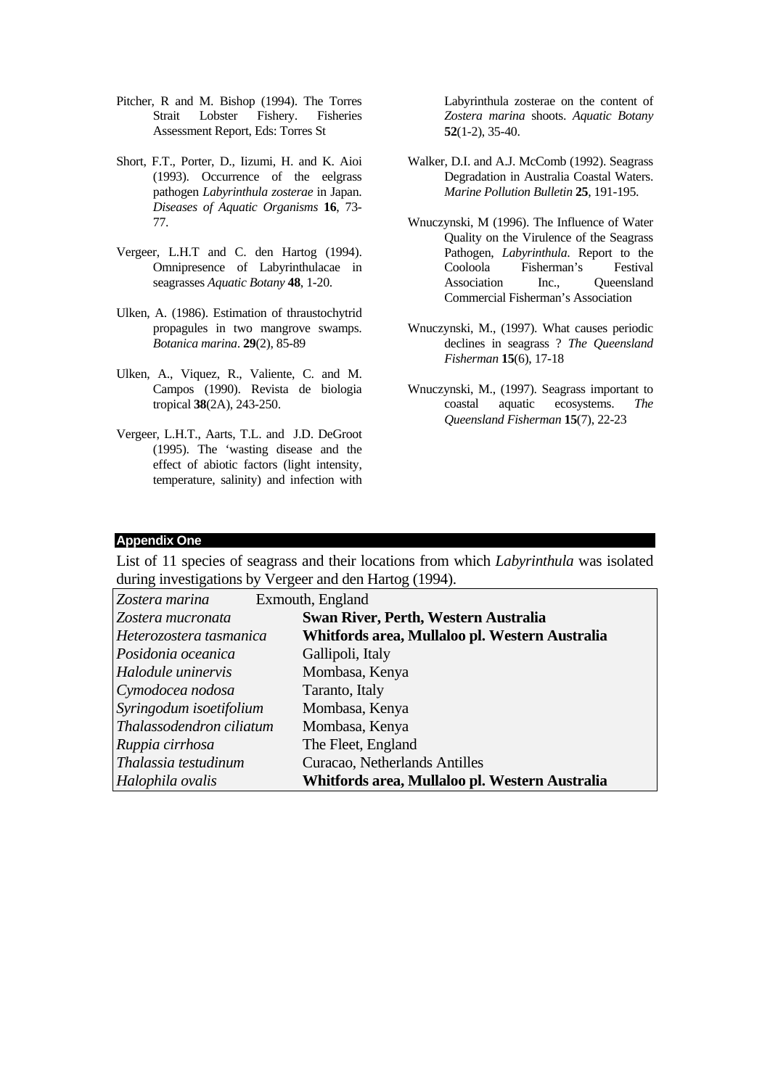- Pitcher, R and M. Bishop (1994). The Torres Strait Lobster Fishery. Fisheries Assessment Report, Eds: Torres St
- Short, F.T., Porter, D., Iizumi, H. and K. Aioi (1993). Occurrence of the eelgrass pathogen *Labyrinthula zosterae* in Japan. *Diseases of Aquatic Organisms* **16**, 73- 77.
- Vergeer, L.H.T and C. den Hartog (1994). Omnipresence of Labyrinthulacae in seagrasses *Aquatic Botany* **48**, 1-20.
- Ulken, A. (1986). Estimation of thraustochytrid propagules in two mangrove swamps. *Botanica marina*. **29**(2), 85-89
- Ulken, A., Viquez, R., Valiente, C. and M. Campos (1990). Revista de biologia tropical **38**(2A), 243-250.
- Vergeer, L.H.T., Aarts, T.L. and J.D. DeGroot (1995). The 'wasting disease and the effect of abiotic factors (light intensity, temperature, salinity) and infection with

Labyrinthula zosterae on the content of *Zostera marina* shoots. *Aquatic Botany* **52**(1-2), 35-40.

- Walker, D.I. and A.J. McComb (1992). Seagrass Degradation in Australia Coastal Waters. *Marine Pollution Bulletin* **25**, 191-195.
- Wnuczynski, M (1996). The Influence of Water Quality on the Virulence of the Seagrass Pathogen, *Labyrinthula*. Report to the Cooloola Fisherman's Festival Association Inc., Oueensland Commercial Fisherman's Association
- Wnuczynski, M., (1997). What causes periodic declines in seagrass ? *The Queensland Fisherman* **15**(6), 17-18
- Wnuczynski, M., (1997). Seagrass important to coastal aquatic ecosystems. *The Queensland Fisherman* **15**(7), 22-23

#### **Appendix One**

List of 11 species of seagrass and their locations from which *Labyrinthula* was isolated during investigations by Vergeer and den Hartog (1994).

| Zostera marina            | Exmouth, England                               |
|---------------------------|------------------------------------------------|
| Zostera mucronata         | Swan River, Perth, Western Australia           |
| Heterozostera tasmanica   | Whitfords area, Mullaloo pl. Western Australia |
| Posidonia oceanica        | Gallipoli, Italy                               |
| <i>Halodule uninervis</i> | Mombasa, Kenya                                 |
| Cymodocea nodosa          | Taranto, Italy                                 |
| Syringodum isoetifolium   | Mombasa, Kenya                                 |
| Thalassodendron ciliatum  | Mombasa, Kenya                                 |
| Ruppia cirrhosa           | The Fleet, England                             |
| Thalassia testudinum      | Curacao, Netherlands Antilles                  |
| Halophila ovalis          | Whitfords area, Mullaloo pl. Western Australia |